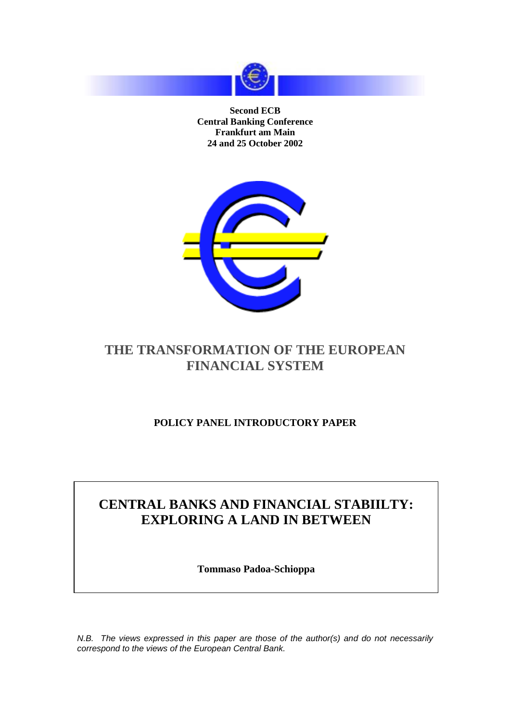

**Second ECB Central Banking Conference Frankfurt am Main 24 and 25 October 2002**



# **THE TRANSFORMATION OF THE EUROPEAN FINANCIAL SYSTEM**

### **POLICY PANEL INTRODUCTORY PAPER**

# **CENTRAL BANKS AND FINANCIAL STABIILTY: EXPLORING A LAND IN BETWEEN**

**Tommaso Padoa-Schioppa**

N.B. The views expressed in this paper are those of the author(s) and do not necessarily correspond to the views of the European Central Bank.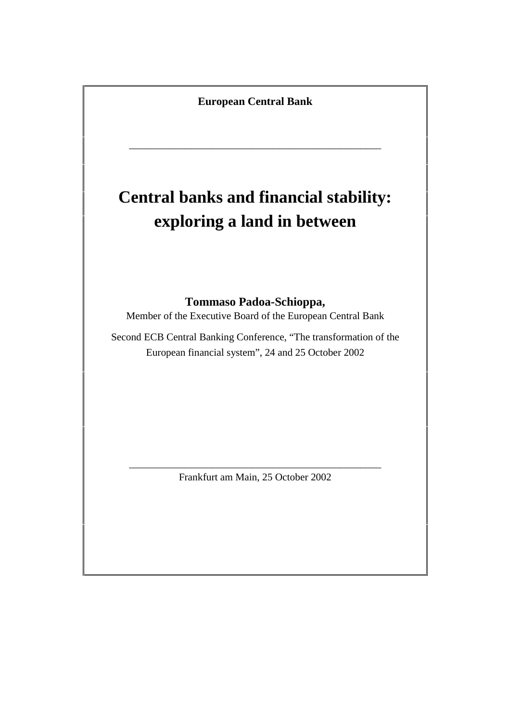**European Central Bank**

\_\_\_\_\_\_\_\_\_\_\_\_\_\_\_\_\_\_\_\_\_\_\_\_\_\_\_\_\_\_\_\_\_\_\_\_\_\_\_\_\_\_\_\_\_\_\_\_\_

# **Central banks and financial stability: exploring a land in between**

#### **Tommaso Padoa-Schioppa,**

Member of the Executive Board of the European Central Bank

Second ECB Central Banking Conference, "The transformation of the European financial system", 24 and 25 October 2002

\_\_\_\_\_\_\_\_\_\_\_\_\_\_\_\_\_\_\_\_\_\_\_\_\_\_\_\_\_\_\_\_\_\_\_\_\_\_\_\_\_\_\_\_\_\_\_\_\_ Frankfurt am Main, 25 October 2002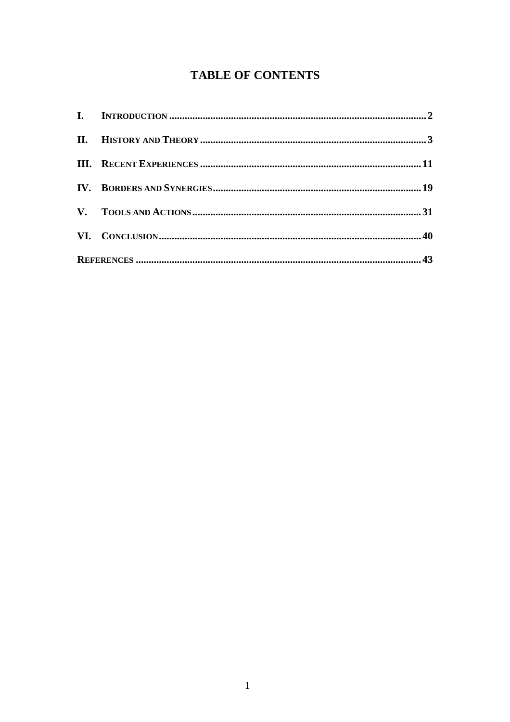## **TABLE OF CONTENTS**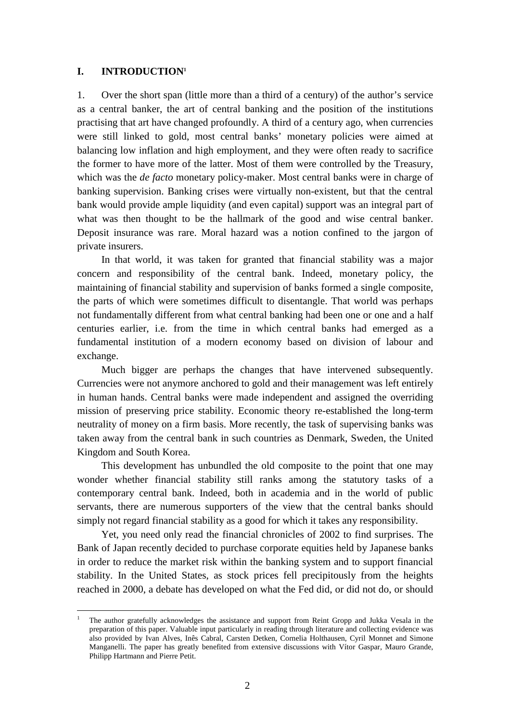#### <span id="page-3-0"></span>**I. INTRODUCTION1**

 $\overline{a}$ 

1. Over the short span (little more than a third of a century) of the author's service as a central banker, the art of central banking and the position of the institutions practising that art have changed profoundly. A third of a century ago, when currencies were still linked to gold, most central banks' monetary policies were aimed at balancing low inflation and high employment, and they were often ready to sacrifice the former to have more of the latter. Most of them were controlled by the Treasury, which was the *de facto* monetary policy-maker. Most central banks were in charge of banking supervision. Banking crises were virtually non-existent, but that the central bank would provide ample liquidity (and even capital) support was an integral part of what was then thought to be the hallmark of the good and wise central banker. Deposit insurance was rare. Moral hazard was a notion confined to the jargon of private insurers.

In that world, it was taken for granted that financial stability was a major concern and responsibility of the central bank. Indeed, monetary policy, the maintaining of financial stability and supervision of banks formed a single composite, the parts of which were sometimes difficult to disentangle. That world was perhaps not fundamentally different from what central banking had been one or one and a half centuries earlier, i.e. from the time in which central banks had emerged as a fundamental institution of a modern economy based on division of labour and exchange.

Much bigger are perhaps the changes that have intervened subsequently. Currencies were not anymore anchored to gold and their management was left entirely in human hands. Central banks were made independent and assigned the overriding mission of preserving price stability. Economic theory re-established the long-term neutrality of money on a firm basis. More recently, the task of supervising banks was taken away from the central bank in such countries as Denmark, Sweden, the United Kingdom and South Korea.

This development has unbundled the old composite to the point that one may wonder whether financial stability still ranks among the statutory tasks of a contemporary central bank. Indeed, both in academia and in the world of public servants, there are numerous supporters of the view that the central banks should simply not regard financial stability as a good for which it takes any responsibility.

Yet, you need only read the financial chronicles of 2002 to find surprises. The Bank of Japan recently decided to purchase corporate equities held by Japanese banks in order to reduce the market risk within the banking system and to support financial stability. In the United States, as stock prices fell precipitously from the heights reached in 2000, a debate has developed on what the Fed did, or did not do, or should

<sup>1</sup> The author gratefully acknowledges the assistance and support from Reint Gropp and Jukka Vesala in the preparation of this paper. Valuable input particularly in reading through literature and collecting evidence was also provided by Ivan Alves, Inês Cabral, Carsten Detken, Cornelia Holthausen, Cyril Monnet and Simone Manganelli. The paper has greatly benefited from extensive discussions with Vítor Gaspar, Mauro Grande, Philipp Hartmann and Pierre Petit.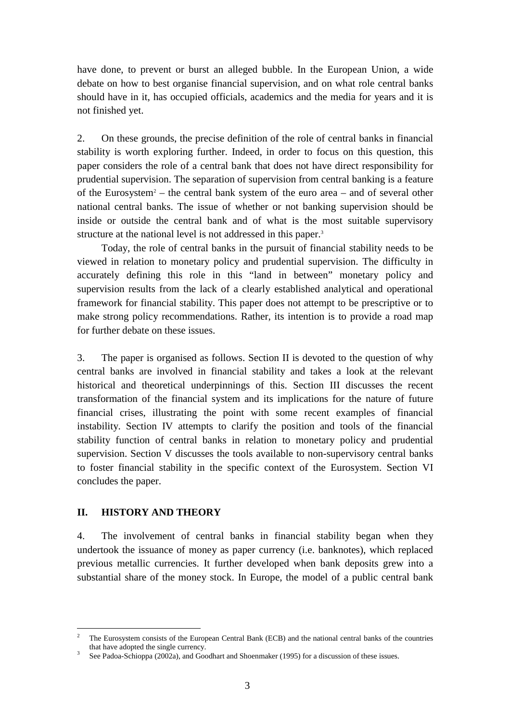<span id="page-4-0"></span>have done, to prevent or burst an alleged bubble. In the European Union, a wide debate on how to best organise financial supervision, and on what role central banks should have in it, has occupied officials, academics and the media for years and it is not finished yet.

2. On these grounds, the precise definition of the role of central banks in financial stability is worth exploring further. Indeed, in order to focus on this question, this paper considers the role of a central bank that does not have direct responsibility for prudential supervision. The separation of supervision from central banking is a feature of the Eurosystem<sup>2</sup> – the central bank system of the euro area – and of several other national central banks. The issue of whether or not banking supervision should be inside or outside the central bank and of what is the most suitable supervisory structure at the national level is not addressed in this paper.<sup>3</sup>

Today, the role of central banks in the pursuit of financial stability needs to be viewed in relation to monetary policy and prudential supervision. The difficulty in accurately defining this role in this "land in between" monetary policy and supervision results from the lack of a clearly established analytical and operational framework for financial stability. This paper does not attempt to be prescriptive or to make strong policy recommendations. Rather, its intention is to provide a road map for further debate on these issues.

3. The paper is organised as follows. Section II is devoted to the question of why central banks are involved in financial stability and takes a look at the relevant historical and theoretical underpinnings of this. Section III discusses the recent transformation of the financial system and its implications for the nature of future financial crises, illustrating the point with some recent examples of financial instability. Section IV attempts to clarify the position and tools of the financial stability function of central banks in relation to monetary policy and prudential supervision. Section V discusses the tools available to non-supervisory central banks to foster financial stability in the specific context of the Eurosystem. Section VI concludes the paper.

#### **II. HISTORY AND THEORY**

 $\overline{a}$ 

4. The involvement of central banks in financial stability began when they undertook the issuance of money as paper currency (i.e. banknotes), which replaced previous metallic currencies. It further developed when bank deposits grew into a substantial share of the money stock. In Europe, the model of a public central bank

<sup>2</sup> The Eurosystem consists of the European Central Bank (ECB) and the national central banks of the countries that have adopted the single currency.

See Padoa-Schioppa (2002a), and Goodhart and Shoenmaker (1995) for a discussion of these issues.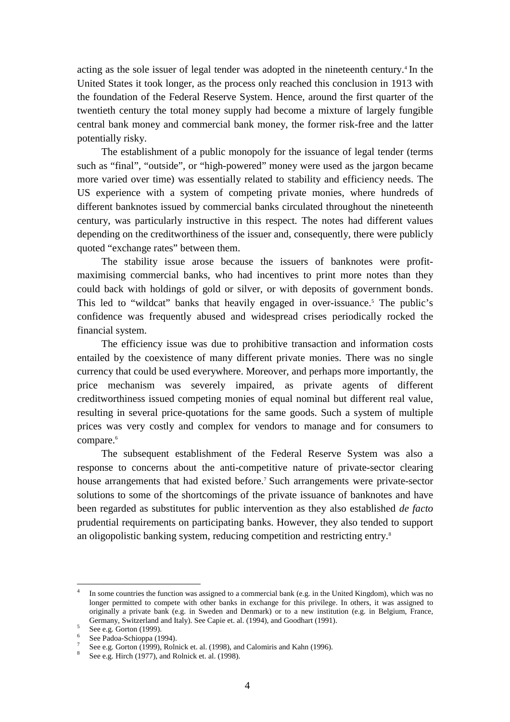acting as the sole issuer of legal tender was adopted in the nineteenth century.<sup>4</sup> In the United States it took longer, as the process only reached this conclusion in 1913 with the foundation of the Federal Reserve System. Hence, around the first quarter of the twentieth century the total money supply had become a mixture of largely fungible central bank money and commercial bank money, the former risk-free and the latter potentially risky.

The establishment of a public monopoly for the issuance of legal tender (terms such as "final", "outside", or "high-powered" money were used as the jargon became more varied over time) was essentially related to stability and efficiency needs. The US experience with a system of competing private monies, where hundreds of different banknotes issued by commercial banks circulated throughout the nineteenth century, was particularly instructive in this respect. The notes had different values depending on the creditworthiness of the issuer and, consequently, there were publicly quoted "exchange rates" between them.

The stability issue arose because the issuers of banknotes were profitmaximising commercial banks, who had incentives to print more notes than they could back with holdings of gold or silver, or with deposits of government bonds. This led to "wildcat" banks that heavily engaged in over-issuance.<sup>5</sup> The public's confidence was frequently abused and widespread crises periodically rocked the financial system.

The efficiency issue was due to prohibitive transaction and information costs entailed by the coexistence of many different private monies. There was no single currency that could be used everywhere. Moreover, and perhaps more importantly, the price mechanism was severely impaired, as private agents of different creditworthiness issued competing monies of equal nominal but different real value, resulting in several price-quotations for the same goods. Such a system of multiple prices was very costly and complex for vendors to manage and for consumers to compare.<sup>6</sup>

The subsequent establishment of the Federal Reserve System was also a response to concerns about the anti-competitive nature of private-sector clearing house arrangements that had existed before.7 Such arrangements were private-sector solutions to some of the shortcomings of the private issuance of banknotes and have been regarded as substitutes for public intervention as they also established *de facto* prudential requirements on participating banks. However, they also tended to support an oligopolistic banking system, reducing competition and restricting entry.<sup>8</sup>

<sup>4</sup> In some countries the function was assigned to a commercial bank (e.g. in the United Kingdom), which was no longer permitted to compete with other banks in exchange for this privilege. In others, it was assigned to originally a private bank (e.g. in Sweden and Denmark) or to a new institution (e.g. in Belgium, France, Germany, Switzerland and Italy). See Capie et. al. (1994), and Goodhart (1991).

 $5$  See e.g. Gorton (1999).

<sup>&</sup>lt;sup>6</sup> See Padoa-Schioppa (1994).

See e.g. Gorton (1999), Rolnick et. al. (1998), and Calomiris and Kahn (1996).

<sup>&</sup>lt;sup>8</sup> See e.g. Hirch (1977), and Rolnick et. al. (1998).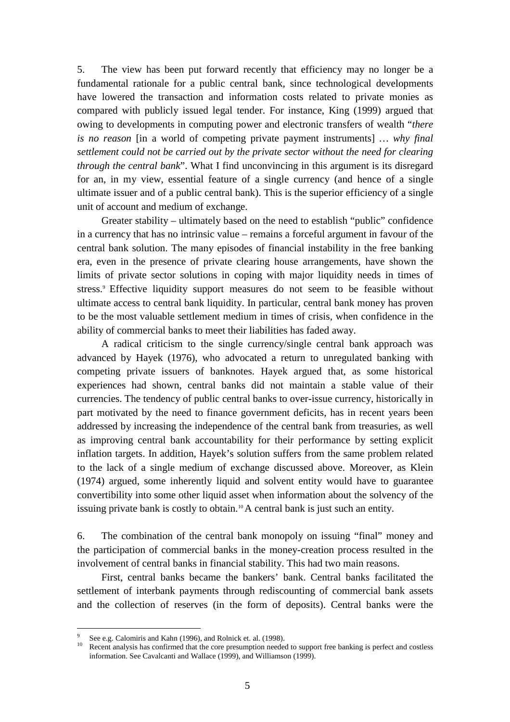5. The view has been put forward recently that efficiency may no longer be a fundamental rationale for a public central bank, since technological developments have lowered the transaction and information costs related to private monies as compared with publicly issued legal tender. For instance, King (1999) argued that owing to developments in computing power and electronic transfers of wealth "*there is no reason* [in a world of competing private payment instruments] *… why final settlement could not be carried out by the private sector without the need for clearing through the central bank*". What I find unconvincing in this argument is its disregard for an, in my view, essential feature of a single currency (and hence of a single ultimate issuer and of a public central bank). This is the superior efficiency of a single unit of account and medium of exchange.

Greater stability – ultimately based on the need to establish "public" confidence in a currency that has no intrinsic value – remains a forceful argument in favour of the central bank solution. The many episodes of financial instability in the free banking era, even in the presence of private clearing house arrangements, have shown the limits of private sector solutions in coping with major liquidity needs in times of stress.<sup>9</sup> Effective liquidity support measures do not seem to be feasible without ultimate access to central bank liquidity. In particular, central bank money has proven to be the most valuable settlement medium in times of crisis, when confidence in the ability of commercial banks to meet their liabilities has faded away.

A radical criticism to the single currency/single central bank approach was advanced by Hayek (1976), who advocated a return to unregulated banking with competing private issuers of banknotes. Hayek argued that, as some historical experiences had shown, central banks did not maintain a stable value of their currencies. The tendency of public central banks to over-issue currency, historically in part motivated by the need to finance government deficits, has in recent years been addressed by increasing the independence of the central bank from treasuries, as well as improving central bank accountability for their performance by setting explicit inflation targets. In addition, Hayek's solution suffers from the same problem related to the lack of a single medium of exchange discussed above. Moreover, as Klein (1974) argued, some inherently liquid and solvent entity would have to guarantee convertibility into some other liquid asset when information about the solvency of the issuing private bank is costly to obtain.10 A central bank is just such an entity.

6. The combination of the central bank monopoly on issuing "final" money and the participation of commercial banks in the money-creation process resulted in the involvement of central banks in financial stability. This had two main reasons.

First, central banks became the bankers' bank. Central banks facilitated the settlement of interbank payments through rediscounting of commercial bank assets and the collection of reserves (in the form of deposits). Central banks were the

<sup>9</sup>  $\frac{9}{10}$  See e.g. Calomiris and Kahn (1996), and Rolnick et. al. (1998).

Recent analysis has confirmed that the core presumption needed to support free banking is perfect and costless information. See Cavalcanti and Wallace (1999), and Williamson (1999).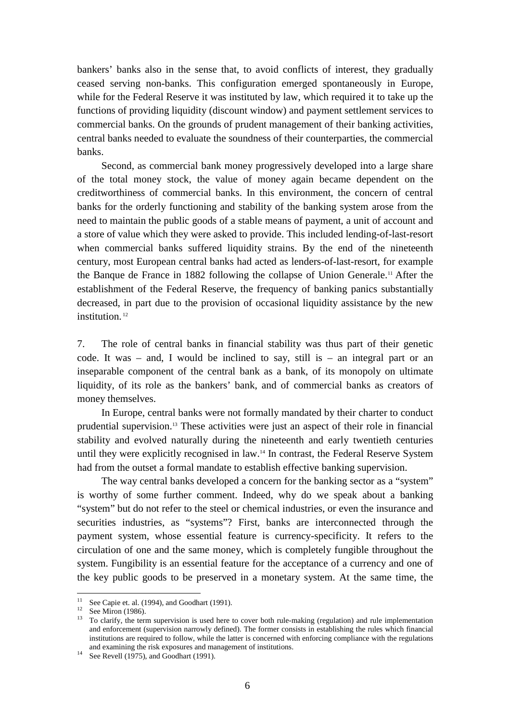bankers' banks also in the sense that, to avoid conflicts of interest, they gradually ceased serving non-banks. This configuration emerged spontaneously in Europe, while for the Federal Reserve it was instituted by law, which required it to take up the functions of providing liquidity (discount window) and payment settlement services to commercial banks. On the grounds of prudent management of their banking activities, central banks needed to evaluate the soundness of their counterparties, the commercial banks.

Second, as commercial bank money progressively developed into a large share of the total money stock, the value of money again became dependent on the creditworthiness of commercial banks. In this environment, the concern of central banks for the orderly functioning and stability of the banking system arose from the need to maintain the public goods of a stable means of payment, a unit of account and a store of value which they were asked to provide. This included lending-of-last-resort when commercial banks suffered liquidity strains. By the end of the nineteenth century, most European central banks had acted as lenders-of-last-resort, for example the Banque de France in 1882 following the collapse of Union Generale.11 After the establishment of the Federal Reserve, the frequency of banking panics substantially decreased, in part due to the provision of occasional liquidity assistance by the new institution<sup>12</sup>

7. The role of central banks in financial stability was thus part of their genetic code. It was – and, I would be inclined to say, still is – an integral part or an inseparable component of the central bank as a bank, of its monopoly on ultimate liquidity, of its role as the bankers' bank, and of commercial banks as creators of money themselves.

In Europe, central banks were not formally mandated by their charter to conduct prudential supervision.13 These activities were just an aspect of their role in financial stability and evolved naturally during the nineteenth and early twentieth centuries until they were explicitly recognised in law.14 In contrast, the Federal Reserve System had from the outset a formal mandate to establish effective banking supervision.

The way central banks developed a concern for the banking sector as a "system" is worthy of some further comment. Indeed, why do we speak about a banking "system" but do not refer to the steel or chemical industries, or even the insurance and securities industries, as "systems"? First, banks are interconnected through the payment system, whose essential feature is currency-specificity. It refers to the circulation of one and the same money, which is completely fungible throughout the system. Fungibility is an essential feature for the acceptance of a currency and one of the key public goods to be preserved in a monetary system. At the same time, the

<sup>&</sup>lt;sup>11</sup> See Capie et. al. (1994), and Goodhart (1991).<br><sup>12</sup> See Miron (1986).

<sup>&</sup>lt;sup>12</sup> See Miron (1986).<br><sup>13</sup> To clarify, the term supervision is used here to cover both rule-making (regulation) and rule implementation and enforcement (supervision narrowly defined). The former consists in establishing the rules which financial institutions are required to follow, while the latter is concerned with enforcing compliance with the regulations and examining the risk exposures and management of institutions.<br><sup>14</sup> See Revell (1975), and Goodhart (1991).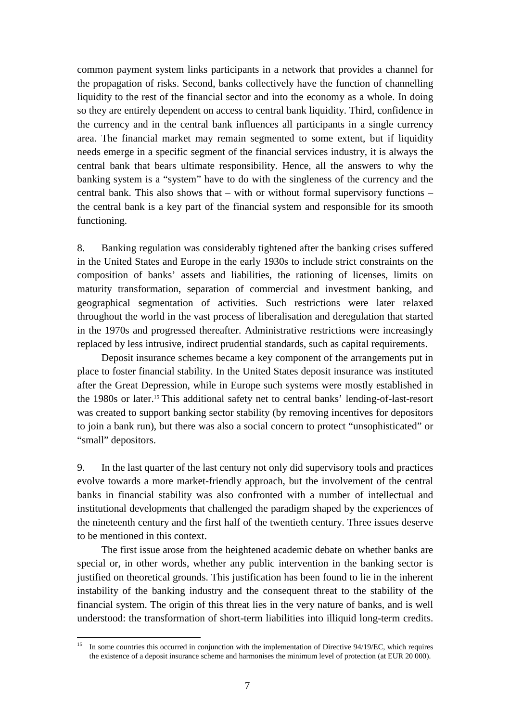common payment system links participants in a network that provides a channel for the propagation of risks. Second, banks collectively have the function of channelling liquidity to the rest of the financial sector and into the economy as a whole. In doing so they are entirely dependent on access to central bank liquidity. Third, confidence in the currency and in the central bank influences all participants in a single currency area. The financial market may remain segmented to some extent, but if liquidity needs emerge in a specific segment of the financial services industry, it is always the central bank that bears ultimate responsibility. Hence, all the answers to why the banking system is a "system" have to do with the singleness of the currency and the central bank. This also shows that – with or without formal supervisory functions – the central bank is a key part of the financial system and responsible for its smooth functioning.

8. Banking regulation was considerably tightened after the banking crises suffered in the United States and Europe in the early 1930s to include strict constraints on the composition of banks' assets and liabilities, the rationing of licenses, limits on maturity transformation, separation of commercial and investment banking, and geographical segmentation of activities. Such restrictions were later relaxed throughout the world in the vast process of liberalisation and deregulation that started in the 1970s and progressed thereafter. Administrative restrictions were increasingly replaced by less intrusive, indirect prudential standards, such as capital requirements.

Deposit insurance schemes became a key component of the arrangements put in place to foster financial stability. In the United States deposit insurance was instituted after the Great Depression, while in Europe such systems were mostly established in the 1980s or later.15 This additional safety net to central banks' lending-of-last-resort was created to support banking sector stability (by removing incentives for depositors to join a bank run), but there was also a social concern to protect "unsophisticated" or "small" depositors.

9. In the last quarter of the last century not only did supervisory tools and practices evolve towards a more market-friendly approach, but the involvement of the central banks in financial stability was also confronted with a number of intellectual and institutional developments that challenged the paradigm shaped by the experiences of the nineteenth century and the first half of the twentieth century. Three issues deserve to be mentioned in this context.

The first issue arose from the heightened academic debate on whether banks are special or, in other words, whether any public intervention in the banking sector is justified on theoretical grounds. This justification has been found to lie in the inherent instability of the banking industry and the consequent threat to the stability of the financial system. The origin of this threat lies in the very nature of banks, and is well understood: the transformation of short-term liabilities into illiquid long-term credits.

<sup>15</sup> In some countries this occurred in conjunction with the implementation of Directive 94/19/EC, which requires the existence of a deposit insurance scheme and harmonises the minimum level of protection (at EUR 20 000).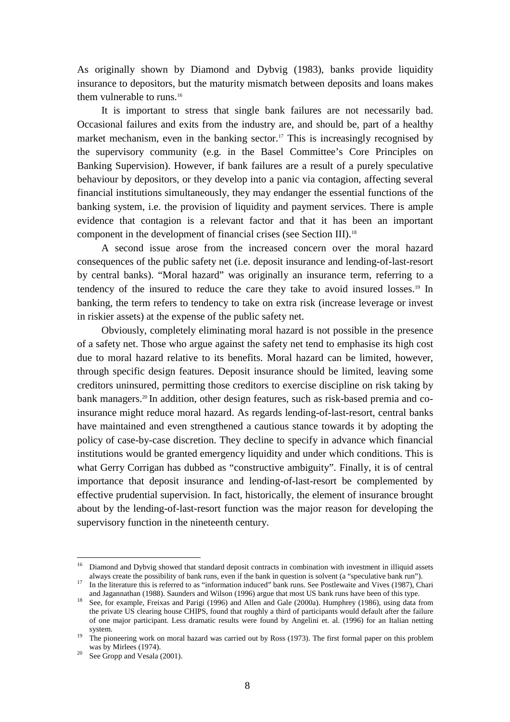As originally shown by Diamond and Dybvig (1983), banks provide liquidity insurance to depositors, but the maturity mismatch between deposits and loans makes them vulnerable to runs.<sup>16</sup>

It is important to stress that single bank failures are not necessarily bad. Occasional failures and exits from the industry are, and should be, part of a healthy market mechanism, even in the banking sector.<sup>17</sup> This is increasingly recognised by the supervisory community (e.g. in the Basel Committee's Core Principles on Banking Supervision). However, if bank failures are a result of a purely speculative behaviour by depositors, or they develop into a panic via contagion, affecting several financial institutions simultaneously, they may endanger the essential functions of the banking system, i.e. the provision of liquidity and payment services. There is ample evidence that contagion is a relevant factor and that it has been an important component in the development of financial crises (see Section III).18

A second issue arose from the increased concern over the moral hazard consequences of the public safety net (i.e. deposit insurance and lending-of-last-resort by central banks). "Moral hazard" was originally an insurance term, referring to a tendency of the insured to reduce the care they take to avoid insured losses.19 In banking, the term refers to tendency to take on extra risk (increase leverage or invest in riskier assets) at the expense of the public safety net.

Obviously, completely eliminating moral hazard is not possible in the presence of a safety net. Those who argue against the safety net tend to emphasise its high cost due to moral hazard relative to its benefits. Moral hazard can be limited, however, through specific design features. Deposit insurance should be limited, leaving some creditors uninsured, permitting those creditors to exercise discipline on risk taking by bank managers.<sup>20</sup> In addition, other design features, such as risk-based premia and coinsurance might reduce moral hazard. As regards lending-of-last-resort, central banks have maintained and even strengthened a cautious stance towards it by adopting the policy of case-by-case discretion. They decline to specify in advance which financial institutions would be granted emergency liquidity and under which conditions. This is what Gerry Corrigan has dubbed as "constructive ambiguity". Finally, it is of central importance that deposit insurance and lending-of-last-resort be complemented by effective prudential supervision. In fact, historically, the element of insurance brought about by the lending-of-last-resort function was the major reason for developing the supervisory function in the nineteenth century.

<sup>&</sup>lt;sup>16</sup> Diamond and Dybvig showed that standard deposit contracts in combination with investment in illiquid assets always create the possibility of bank runs, even if the bank in question is solvent (a "speculative bank run"

<sup>&</sup>lt;sup>17</sup> In the literature this is referred to as "information induced" bank runs. See Postlewaite and Vives (1987), Chari and Jagannathan (1988). Saunders and Wilson (1996) argue that most US bank runs have been of this type.<br><sup>18</sup> See, for example, Freixas and Parigi (1996) and Allen and Gale (2000a). Humphrey (1986), using data from

the private US clearing house CHIPS, found that roughly a third of participants would default after the failure of one major participant. Less dramatic results were found by Angelini et. al. (1996) for an Italian netting

system. 19 The pioneering work on moral hazard was carried out by Ross (1973). The first formal paper on this problem was by Mirlees (1974).<br><sup>20</sup> See Gropp and Vesala (2001).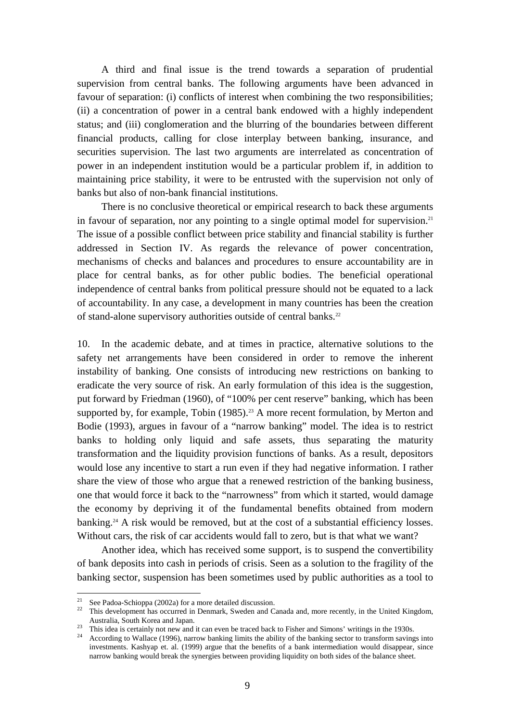A third and final issue is the trend towards a separation of prudential supervision from central banks. The following arguments have been advanced in favour of separation: (i) conflicts of interest when combining the two responsibilities; (ii) a concentration of power in a central bank endowed with a highly independent status; and (iii) conglomeration and the blurring of the boundaries between different financial products, calling for close interplay between banking, insurance, and securities supervision. The last two arguments are interrelated as concentration of power in an independent institution would be a particular problem if, in addition to maintaining price stability, it were to be entrusted with the supervision not only of banks but also of non-bank financial institutions.

There is no conclusive theoretical or empirical research to back these arguments in favour of separation, nor any pointing to a single optimal model for supervision.<sup>21</sup> The issue of a possible conflict between price stability and financial stability is further addressed in Section IV. As regards the relevance of power concentration, mechanisms of checks and balances and procedures to ensure accountability are in place for central banks, as for other public bodies. The beneficial operational independence of central banks from political pressure should not be equated to a lack of accountability. In any case, a development in many countries has been the creation of stand-alone supervisory authorities outside of central banks.<sup>22</sup>

10. In the academic debate, and at times in practice, alternative solutions to the safety net arrangements have been considered in order to remove the inherent instability of banking. One consists of introducing new restrictions on banking to eradicate the very source of risk. An early formulation of this idea is the suggestion, put forward by Friedman (1960), of "100% per cent reserve" banking, which has been supported by, for example, Tobin  $(1985)^{23}$  A more recent formulation, by Merton and Bodie (1993), argues in favour of a "narrow banking" model. The idea is to restrict banks to holding only liquid and safe assets, thus separating the maturity transformation and the liquidity provision functions of banks. As a result, depositors would lose any incentive to start a run even if they had negative information. I rather share the view of those who argue that a renewed restriction of the banking business, one that would force it back to the "narrowness" from which it started, would damage the economy by depriving it of the fundamental benefits obtained from modern banking.<sup>24</sup> A risk would be removed, but at the cost of a substantial efficiency losses. Without cars, the risk of car accidents would fall to zero, but is that what we want?

Another idea, which has received some support, is to suspend the convertibility of bank deposits into cash in periods of crisis. Seen as a solution to the fragility of the banking sector, suspension has been sometimes used by public authorities as a tool to

 $21$ See Padoa-Schioppa (2002a) for a more detailed discussion.

<sup>&</sup>lt;sup>22</sup> This development has occurred in Denmark, Sweden and Canada and, more recently, in the United Kingdom,

Australia, South Korea and Japan.<br><sup>23</sup> This idea is certainly not new and it can even be traced back to Fisher and Simons' writings in the 1930s.

<sup>24</sup> According to Wallace (1996), narrow banking limits the ability of the banking sector to transform savings into investments. Kashyap et. al. (1999) argue that the benefits of a bank intermediation would disappear, since narrow banking would break the synergies between providing liquidity on both sides of the balance sheet.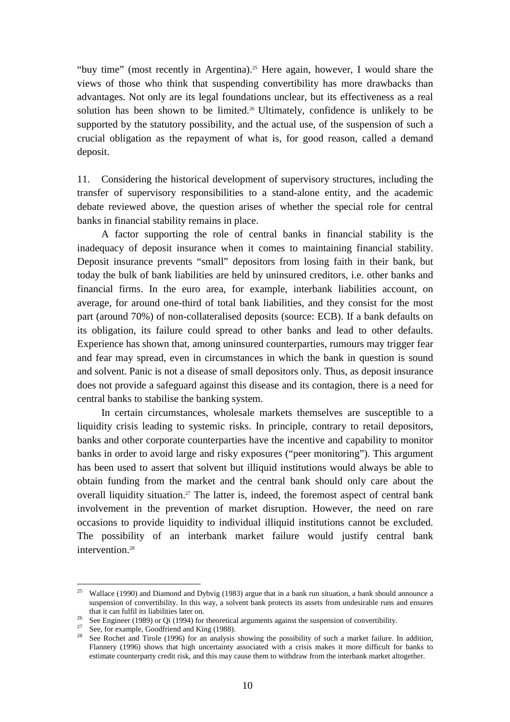"buy time" (most recently in Argentina).<sup>25</sup> Here again, however, I would share the views of those who think that suspending convertibility has more drawbacks than advantages. Not only are its legal foundations unclear, but its effectiveness as a real solution has been shown to be limited.26 Ultimately, confidence is unlikely to be supported by the statutory possibility, and the actual use, of the suspension of such a crucial obligation as the repayment of what is, for good reason, called a demand deposit.

11. Considering the historical development of supervisory structures, including the transfer of supervisory responsibilities to a stand-alone entity, and the academic debate reviewed above, the question arises of whether the special role for central banks in financial stability remains in place.

A factor supporting the role of central banks in financial stability is the inadequacy of deposit insurance when it comes to maintaining financial stability. Deposit insurance prevents "small" depositors from losing faith in their bank, but today the bulk of bank liabilities are held by uninsured creditors, i.e. other banks and financial firms. In the euro area, for example, interbank liabilities account, on average, for around one-third of total bank liabilities, and they consist for the most part (around 70%) of non-collateralised deposits (source: ECB). If a bank defaults on its obligation, its failure could spread to other banks and lead to other defaults. Experience has shown that, among uninsured counterparties, rumours may trigger fear and fear may spread, even in circumstances in which the bank in question is sound and solvent. Panic is not a disease of small depositors only. Thus, as deposit insurance does not provide a safeguard against this disease and its contagion, there is a need for central banks to stabilise the banking system.

In certain circumstances, wholesale markets themselves are susceptible to a liquidity crisis leading to systemic risks. In principle, contrary to retail depositors, banks and other corporate counterparties have the incentive and capability to monitor banks in order to avoid large and risky exposures ("peer monitoring"). This argument has been used to assert that solvent but illiquid institutions would always be able to obtain funding from the market and the central bank should only care about the overall liquidity situation.<sup>27</sup> The latter is, indeed, the foremost aspect of central bank involvement in the prevention of market disruption. However, the need on rare occasions to provide liquidity to individual illiquid institutions cannot be excluded. The possibility of an interbank market failure would justify central bank intervention.<sup>28</sup>

<sup>&</sup>lt;sup>25</sup> Wallace (1990) and Diamond and Dybvig (1983) argue that in a bank run situation, a bank should announce a suspension of convertibility. In this way, a solvent bank protects its assets from undesirable runs and ensures

that it can fulfil its liabilities later on.<br><sup>26</sup> See Engineer (1989) or Qi (1994) for theoretical arguments against the suspension of convertibility.<br><sup>27</sup> See, for example, Goodfriend and King (1988).

See Rochet and Tirole (1996) for an analysis showing the possibility of such a market failure. In addition, Flannery (1996) shows that high uncertainty associated with a crisis makes it more difficult for banks to estimate counterparty credit risk, and this may cause them to withdraw from the interbank market altogether.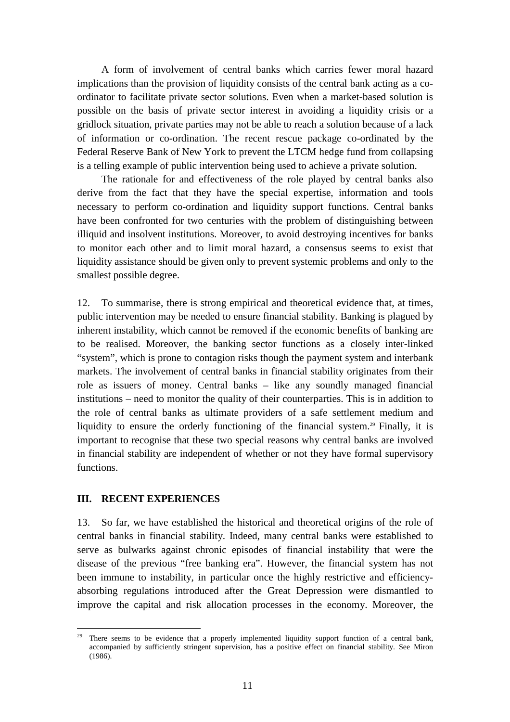<span id="page-12-0"></span>A form of involvement of central banks which carries fewer moral hazard implications than the provision of liquidity consists of the central bank acting as a coordinator to facilitate private sector solutions. Even when a market-based solution is possible on the basis of private sector interest in avoiding a liquidity crisis or a gridlock situation, private parties may not be able to reach a solution because of a lack of information or co-ordination. The recent rescue package co-ordinated by the Federal Reserve Bank of New York to prevent the LTCM hedge fund from collapsing is a telling example of public intervention being used to achieve a private solution.

The rationale for and effectiveness of the role played by central banks also derive from the fact that they have the special expertise, information and tools necessary to perform co-ordination and liquidity support functions. Central banks have been confronted for two centuries with the problem of distinguishing between illiquid and insolvent institutions. Moreover, to avoid destroying incentives for banks to monitor each other and to limit moral hazard, a consensus seems to exist that liquidity assistance should be given only to prevent systemic problems and only to the smallest possible degree.

12. To summarise, there is strong empirical and theoretical evidence that, at times, public intervention may be needed to ensure financial stability. Banking is plagued by inherent instability, which cannot be removed if the economic benefits of banking are to be realised. Moreover, the banking sector functions as a closely inter-linked "system", which is prone to contagion risks though the payment system and interbank markets. The involvement of central banks in financial stability originates from their role as issuers of money. Central banks – like any soundly managed financial institutions – need to monitor the quality of their counterparties. This is in addition to the role of central banks as ultimate providers of a safe settlement medium and liquidity to ensure the orderly functioning of the financial system.<sup>29</sup> Finally, it is important to recognise that these two special reasons why central banks are involved in financial stability are independent of whether or not they have formal supervisory functions.

#### **III. RECENT EXPERIENCES**

13. So far, we have established the historical and theoretical origins of the role of central banks in financial stability. Indeed, many central banks were established to serve as bulwarks against chronic episodes of financial instability that were the disease of the previous "free banking era". However, the financial system has not been immune to instability, in particular once the highly restrictive and efficiencyabsorbing regulations introduced after the Great Depression were dismantled to improve the capital and risk allocation processes in the economy. Moreover, the

 $\overline{a}$ There seems to be evidence that a properly implemented liquidity support function of a central bank, accompanied by sufficiently stringent supervision, has a positive effect on financial stability. See Miron (1986).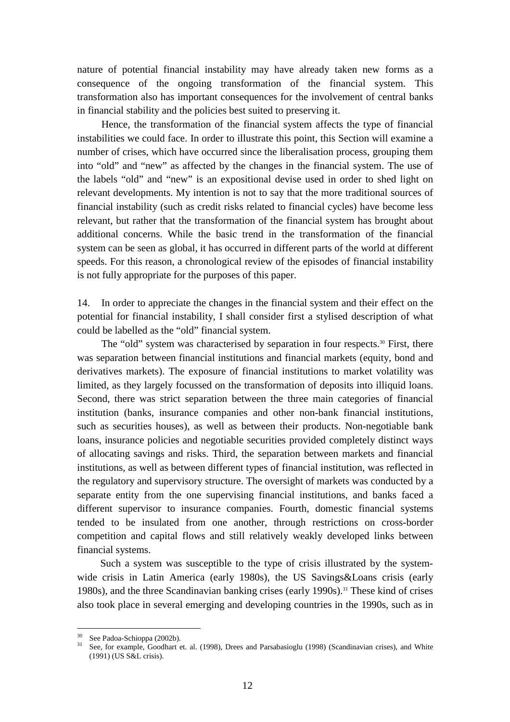nature of potential financial instability may have already taken new forms as a consequence of the ongoing transformation of the financial system. This transformation also has important consequences for the involvement of central banks in financial stability and the policies best suited to preserving it.

Hence, the transformation of the financial system affects the type of financial instabilities we could face. In order to illustrate this point, this Section will examine a number of crises, which have occurred since the liberalisation process, grouping them into "old" and "new" as affected by the changes in the financial system. The use of the labels "old" and "new" is an expositional devise used in order to shed light on relevant developments. My intention is not to say that the more traditional sources of financial instability (such as credit risks related to financial cycles) have become less relevant, but rather that the transformation of the financial system has brought about additional concerns. While the basic trend in the transformation of the financial system can be seen as global, it has occurred in different parts of the world at different speeds. For this reason, a chronological review of the episodes of financial instability is not fully appropriate for the purposes of this paper.

14. In order to appreciate the changes in the financial system and their effect on the potential for financial instability, I shall consider first a stylised description of what could be labelled as the "old" financial system.

The "old" system was characterised by separation in four respects. $30$  First, there was separation between financial institutions and financial markets (equity, bond and derivatives markets). The exposure of financial institutions to market volatility was limited, as they largely focussed on the transformation of deposits into illiquid loans. Second, there was strict separation between the three main categories of financial institution (banks, insurance companies and other non-bank financial institutions, such as securities houses), as well as between their products. Non-negotiable bank loans, insurance policies and negotiable securities provided completely distinct ways of allocating savings and risks. Third, the separation between markets and financial institutions, as well as between different types of financial institution, was reflected in the regulatory and supervisory structure. The oversight of markets was conducted by a separate entity from the one supervising financial institutions, and banks faced a different supervisor to insurance companies. Fourth, domestic financial systems tended to be insulated from one another, through restrictions on cross-border competition and capital flows and still relatively weakly developed links between financial systems.

Such a system was susceptible to the type of crisis illustrated by the systemwide crisis in Latin America (early 1980s), the US Savings&Loans crisis (early 1980s), and the three Scandinavian banking crises (early 1990s).<sup>31</sup> These kind of crises also took place in several emerging and developing countries in the 1990s, such as in

<sup>&</sup>lt;sup>30</sup> See Padoa-Schioppa (2002b).

<sup>&</sup>lt;sup>31</sup> See, for example, Goodhart et. al. (1998), Drees and Parsabasioglu (1998) (Scandinavian crises), and White (1991) (US S&L crisis).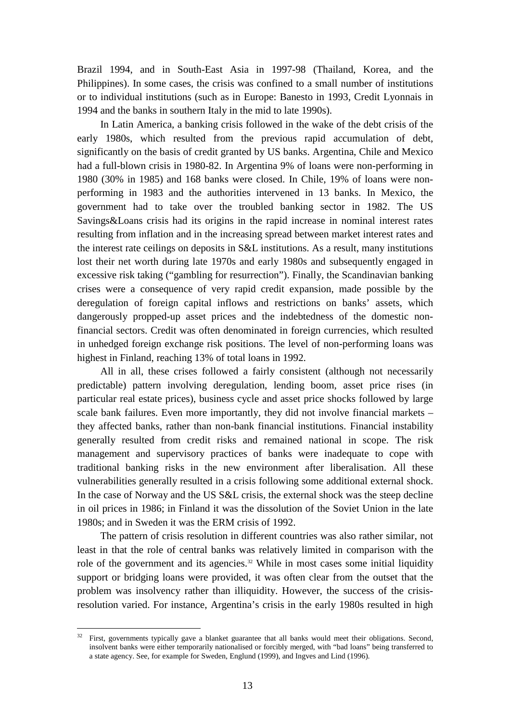Brazil 1994, and in South-East Asia in 1997-98 (Thailand, Korea, and the Philippines). In some cases, the crisis was confined to a small number of institutions or to individual institutions (such as in Europe: Banesto in 1993, Credit Lyonnais in 1994 and the banks in southern Italy in the mid to late 1990s).

In Latin America, a banking crisis followed in the wake of the debt crisis of the early 1980s, which resulted from the previous rapid accumulation of debt, significantly on the basis of credit granted by US banks. Argentina, Chile and Mexico had a full-blown crisis in 1980-82. In Argentina 9% of loans were non-performing in 1980 (30% in 1985) and 168 banks were closed. In Chile, 19% of loans were nonperforming in 1983 and the authorities intervened in 13 banks. In Mexico, the government had to take over the troubled banking sector in 1982. The US Savings&Loans crisis had its origins in the rapid increase in nominal interest rates resulting from inflation and in the increasing spread between market interest rates and the interest rate ceilings on deposits in S&L institutions. As a result, many institutions lost their net worth during late 1970s and early 1980s and subsequently engaged in excessive risk taking ("gambling for resurrection"). Finally, the Scandinavian banking crises were a consequence of very rapid credit expansion, made possible by the deregulation of foreign capital inflows and restrictions on banks' assets, which dangerously propped-up asset prices and the indebtedness of the domestic nonfinancial sectors. Credit was often denominated in foreign currencies, which resulted in unhedged foreign exchange risk positions. The level of non-performing loans was highest in Finland, reaching 13% of total loans in 1992.

All in all, these crises followed a fairly consistent (although not necessarily predictable) pattern involving deregulation, lending boom, asset price rises (in particular real estate prices), business cycle and asset price shocks followed by large scale bank failures. Even more importantly, they did not involve financial markets – they affected banks, rather than non-bank financial institutions. Financial instability generally resulted from credit risks and remained national in scope. The risk management and supervisory practices of banks were inadequate to cope with traditional banking risks in the new environment after liberalisation. All these vulnerabilities generally resulted in a crisis following some additional external shock. In the case of Norway and the US S&L crisis, the external shock was the steep decline in oil prices in 1986; in Finland it was the dissolution of the Soviet Union in the late 1980s; and in Sweden it was the ERM crisis of 1992.

The pattern of crisis resolution in different countries was also rather similar, not least in that the role of central banks was relatively limited in comparison with the role of the government and its agencies.<sup>32</sup> While in most cases some initial liquidity support or bridging loans were provided, it was often clear from the outset that the problem was insolvency rather than illiquidity. However, the success of the crisisresolution varied. For instance, Argentina's crisis in the early 1980s resulted in high

First, governments typically gave a blanket guarantee that all banks would meet their obligations. Second, insolvent banks were either temporarily nationalised or forcibly merged, with "bad loans" being transferred to a state agency. See, for example for Sweden, Englund (1999), and Ingves and Lind (1996).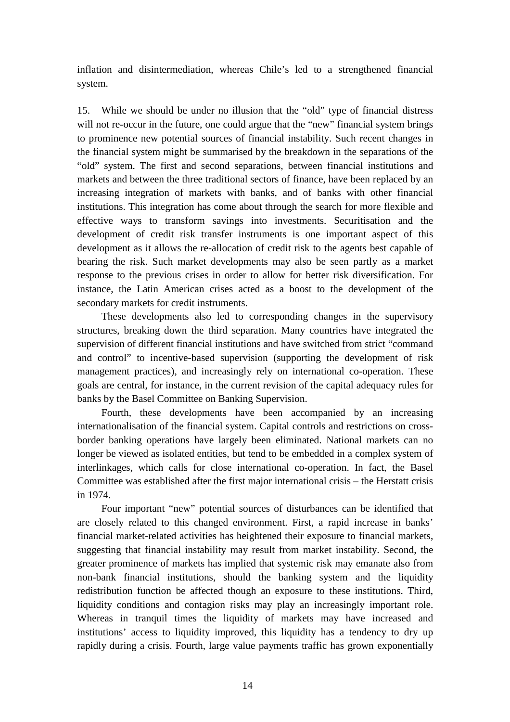inflation and disintermediation, whereas Chile's led to a strengthened financial system.

15. While we should be under no illusion that the "old" type of financial distress will not re-occur in the future, one could argue that the "new" financial system brings to prominence new potential sources of financial instability. Such recent changes in the financial system might be summarised by the breakdown in the separations of the "old" system. The first and second separations, between financial institutions and markets and between the three traditional sectors of finance, have been replaced by an increasing integration of markets with banks, and of banks with other financial institutions. This integration has come about through the search for more flexible and effective ways to transform savings into investments. Securitisation and the development of credit risk transfer instruments is one important aspect of this development as it allows the re-allocation of credit risk to the agents best capable of bearing the risk. Such market developments may also be seen partly as a market response to the previous crises in order to allow for better risk diversification. For instance, the Latin American crises acted as a boost to the development of the secondary markets for credit instruments.

These developments also led to corresponding changes in the supervisory structures, breaking down the third separation. Many countries have integrated the supervision of different financial institutions and have switched from strict "command and control" to incentive-based supervision (supporting the development of risk management practices), and increasingly rely on international co-operation. These goals are central, for instance, in the current revision of the capital adequacy rules for banks by the Basel Committee on Banking Supervision.

Fourth, these developments have been accompanied by an increasing internationalisation of the financial system. Capital controls and restrictions on crossborder banking operations have largely been eliminated. National markets can no longer be viewed as isolated entities, but tend to be embedded in a complex system of interlinkages, which calls for close international co-operation. In fact, the Basel Committee was established after the first major international crisis – the Herstatt crisis in 1974.

Four important "new" potential sources of disturbances can be identified that are closely related to this changed environment. First, a rapid increase in banks' financial market-related activities has heightened their exposure to financial markets, suggesting that financial instability may result from market instability. Second, the greater prominence of markets has implied that systemic risk may emanate also from non-bank financial institutions, should the banking system and the liquidity redistribution function be affected though an exposure to these institutions. Third, liquidity conditions and contagion risks may play an increasingly important role. Whereas in tranquil times the liquidity of markets may have increased and institutions' access to liquidity improved, this liquidity has a tendency to dry up rapidly during a crisis. Fourth, large value payments traffic has grown exponentially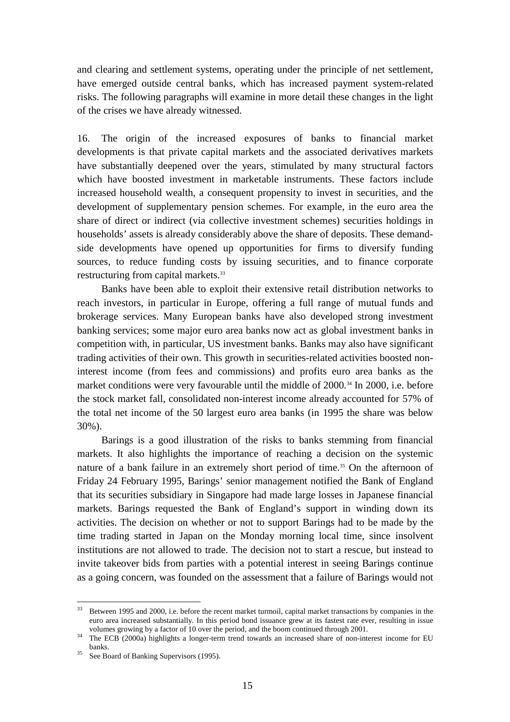and clearing and settlement systems, operating under the principle of net settlement, have emerged outside central banks, which has increased payment system-related risks. The following paragraphs will examine in more detail these changes in the light of the crises we have already witnessed.

16. The origin of the increased exposures of banks to financial market developments is that private capital markets and the associated derivatives markets have substantially deepened over the years, stimulated by many structural factors which have boosted investment in marketable instruments. These factors include increased household wealth, a consequent propensity to invest in securities, and the development of supplementary pension schemes. For example, in the euro area the share of direct or indirect (via collective investment schemes) securities holdings in households' assets is already considerably above the share of deposits. These demandside developments have opened up opportunities for firms to diversify funding sources, to reduce funding costs by issuing securities, and to finance corporate restructuring from capital markets.<sup>33</sup>

Banks have been able to exploit their extensive retail distribution networks to reach investors, in particular in Europe, offering a full range of mutual funds and brokerage services. Many European banks have also developed strong investment banking services; some major euro area banks now act as global investment banks in competition with, in particular, US investment banks. Banks may also have significant trading activities of their own. This growth in securities-related activities boosted noninterest income (from fees and commissions) and profits euro area banks as the market conditions were very favourable until the middle of 2000.<sup>34</sup> In 2000, i.e. before the stock market fall, consolidated non-interest income already accounted for 57% of the total net income of the 50 largest euro area banks (in 1995 the share was below 30%).

Barings is a good illustration of the risks to banks stemming from financial markets. It also highlights the importance of reaching a decision on the systemic nature of a bank failure in an extremely short period of time.<sup>35</sup> On the afternoon of Friday 24 February 1995, Barings' senior management notified the Bank of England that its securities subsidiary in Singapore had made large losses in Japanese financial markets. Barings requested the Bank of England's support in winding down its activities. The decision on whether or not to support Barings had to be made by the time trading started in Japan on the Monday morning local time, since insolvent institutions are not allowed to trade. The decision not to start a rescue, but instead to invite takeover bids from parties with a potential interest in seeing Barings continue as a going concern, was founded on the assessment that a failure of Barings would not

<sup>&</sup>lt;sup>33</sup> Between 1995 and 2000, i.e. before the recent market turmoil, capital market transactions by companies in the euro area increased substantially. In this period bond issuance grew at its fastest rate ever, resulting in issue volumes growing by a factor of 10 over the period, and the boom continued through 2001.<br><sup>34</sup> The ECB (2000a) highlights a longer-term trend towards an increased share of non-interest income for EU

banks.<br><sup>35</sup> See Board of Banking Supervisors (1995).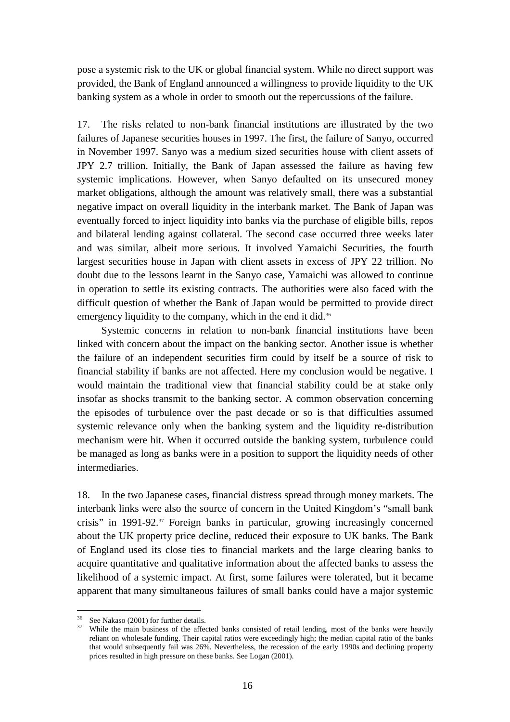pose a systemic risk to the UK or global financial system. While no direct support was provided, the Bank of England announced a willingness to provide liquidity to the UK banking system as a whole in order to smooth out the repercussions of the failure.

17. The risks related to non-bank financial institutions are illustrated by the two failures of Japanese securities houses in 1997. The first, the failure of Sanyo, occurred in November 1997. Sanyo was a medium sized securities house with client assets of JPY 2.7 trillion. Initially, the Bank of Japan assessed the failure as having few systemic implications. However, when Sanyo defaulted on its unsecured money market obligations, although the amount was relatively small, there was a substantial negative impact on overall liquidity in the interbank market. The Bank of Japan was eventually forced to inject liquidity into banks via the purchase of eligible bills, repos and bilateral lending against collateral. The second case occurred three weeks later and was similar, albeit more serious. It involved Yamaichi Securities, the fourth largest securities house in Japan with client assets in excess of JPY 22 trillion. No doubt due to the lessons learnt in the Sanyo case, Yamaichi was allowed to continue in operation to settle its existing contracts. The authorities were also faced with the difficult question of whether the Bank of Japan would be permitted to provide direct emergency liquidity to the company, which in the end it did.<sup>36</sup>

Systemic concerns in relation to non-bank financial institutions have been linked with concern about the impact on the banking sector. Another issue is whether the failure of an independent securities firm could by itself be a source of risk to financial stability if banks are not affected. Here my conclusion would be negative. I would maintain the traditional view that financial stability could be at stake only insofar as shocks transmit to the banking sector. A common observation concerning the episodes of turbulence over the past decade or so is that difficulties assumed systemic relevance only when the banking system and the liquidity re-distribution mechanism were hit. When it occurred outside the banking system, turbulence could be managed as long as banks were in a position to support the liquidity needs of other intermediaries.

18. In the two Japanese cases, financial distress spread through money markets. The interbank links were also the source of concern in the United Kingdom's "small bank crisis" in 1991-92.37 Foreign banks in particular, growing increasingly concerned about the UK property price decline, reduced their exposure to UK banks. The Bank of England used its close ties to financial markets and the large clearing banks to acquire quantitative and qualitative information about the affected banks to assess the likelihood of a systemic impact. At first, some failures were tolerated, but it became apparent that many simultaneous failures of small banks could have a major systemic

<sup>&</sup>lt;sup>36</sup> See Nakaso (2001) for further details.<br><sup>37</sup> While the main business of the affected banks consisted of retail lending, most of the banks were heavily reliant on wholesale funding. Their capital ratios were exceedingly high; the median capital ratio of the banks that would subsequently fail was 26%. Nevertheless, the recession of the early 1990s and declining property prices resulted in high pressure on these banks. See Logan (2001).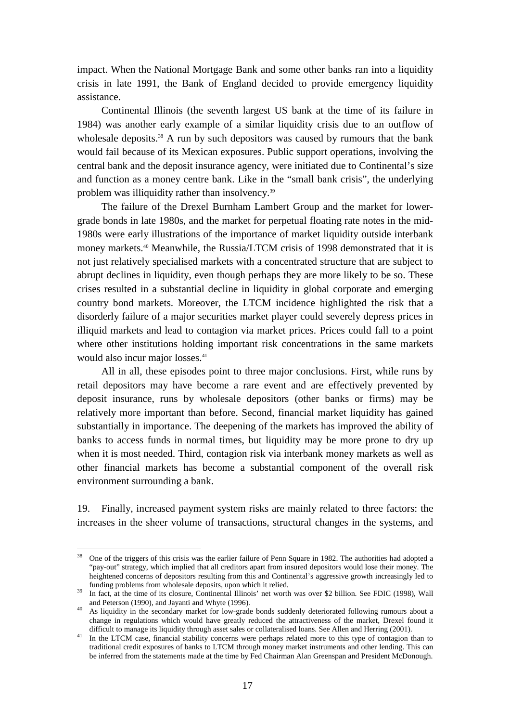impact. When the National Mortgage Bank and some other banks ran into a liquidity crisis in late 1991, the Bank of England decided to provide emergency liquidity assistance.

Continental Illinois (the seventh largest US bank at the time of its failure in 1984) was another early example of a similar liquidity crisis due to an outflow of wholesale deposits.<sup>38</sup> A run by such depositors was caused by rumours that the bank would fail because of its Mexican exposures. Public support operations, involving the central bank and the deposit insurance agency, were initiated due to Continental's size and function as a money centre bank. Like in the "small bank crisis", the underlying problem was illiquidity rather than insolvency.<sup>39</sup>

The failure of the Drexel Burnham Lambert Group and the market for lowergrade bonds in late 1980s, and the market for perpetual floating rate notes in the mid-1980s were early illustrations of the importance of market liquidity outside interbank money markets.40 Meanwhile, the Russia/LTCM crisis of 1998 demonstrated that it is not just relatively specialised markets with a concentrated structure that are subject to abrupt declines in liquidity, even though perhaps they are more likely to be so. These crises resulted in a substantial decline in liquidity in global corporate and emerging country bond markets. Moreover, the LTCM incidence highlighted the risk that a disorderly failure of a major securities market player could severely depress prices in illiquid markets and lead to contagion via market prices. Prices could fall to a point where other institutions holding important risk concentrations in the same markets would also incur major losses.<sup>41</sup>

All in all, these episodes point to three major conclusions. First, while runs by retail depositors may have become a rare event and are effectively prevented by deposit insurance, runs by wholesale depositors (other banks or firms) may be relatively more important than before. Second, financial market liquidity has gained substantially in importance. The deepening of the markets has improved the ability of banks to access funds in normal times, but liquidity may be more prone to dry up when it is most needed. Third, contagion risk via interbank money markets as well as other financial markets has become a substantial component of the overall risk environment surrounding a bank.

19. Finally, increased payment system risks are mainly related to three factors: the increases in the sheer volume of transactions, structural changes in the systems, and

<sup>38</sup> One of the triggers of this crisis was the earlier failure of Penn Square in 1982. The authorities had adopted a "pay-out" strategy, which implied that all creditors apart from insured depositors would lose their money. The heightened concerns of depositors resulting from this and Continental's aggressive growth increasingly led to

funding problems from wholesale deposits, upon which it relied.<br>39 In fact, at the time of its closure, Continental Illinois' net worth was over \$2 billion. See FDIC (1998), Wall<br>and Peterson (1990), and Jayanti and Whyte

<sup>&</sup>lt;sup>40</sup> As liquidity in the secondary market for low-grade bonds suddenly deteriorated following rumours about a change in regulations which would have greatly reduced the attractiveness of the market, Drexel found it difficult to manage its liquidity through asset sales or collateralised loans. See Allen and Herring (2001).<br><sup>41</sup> In the LTCM case, financial stability concerns were perhaps related more to this type of contagion than to

traditional credit exposures of banks to LTCM through money market instruments and other lending. This can be inferred from the statements made at the time by Fed Chairman Alan Greenspan and President McDonough.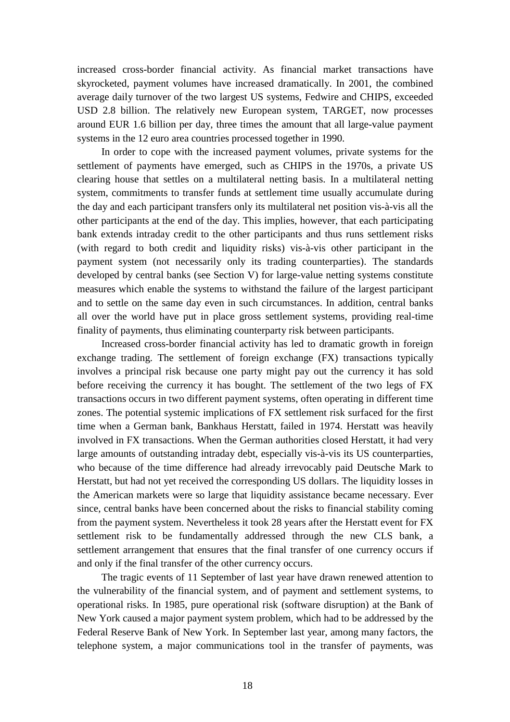increased cross-border financial activity. As financial market transactions have skyrocketed, payment volumes have increased dramatically. In 2001, the combined average daily turnover of the two largest US systems, Fedwire and CHIPS, exceeded USD 2.8 billion. The relatively new European system, TARGET, now processes around EUR 1.6 billion per day, three times the amount that all large-value payment systems in the 12 euro area countries processed together in 1990.

In order to cope with the increased payment volumes, private systems for the settlement of payments have emerged, such as CHIPS in the 1970s, a private US clearing house that settles on a multilateral netting basis. In a multilateral netting system, commitments to transfer funds at settlement time usually accumulate during the day and each participant transfers only its multilateral net position vis-à-vis all the other participants at the end of the day. This implies, however, that each participating bank extends intraday credit to the other participants and thus runs settlement risks (with regard to both credit and liquidity risks) vis-à-vis other participant in the payment system (not necessarily only its trading counterparties). The standards developed by central banks (see Section V) for large-value netting systems constitute measures which enable the systems to withstand the failure of the largest participant and to settle on the same day even in such circumstances. In addition, central banks all over the world have put in place gross settlement systems, providing real-time finality of payments, thus eliminating counterparty risk between participants.

Increased cross-border financial activity has led to dramatic growth in foreign exchange trading. The settlement of foreign exchange (FX) transactions typically involves a principal risk because one party might pay out the currency it has sold before receiving the currency it has bought. The settlement of the two legs of FX transactions occurs in two different payment systems, often operating in different time zones. The potential systemic implications of FX settlement risk surfaced for the first time when a German bank, Bankhaus Herstatt, failed in 1974. Herstatt was heavily involved in FX transactions. When the German authorities closed Herstatt, it had very large amounts of outstanding intraday debt, especially vis-à-vis its US counterparties, who because of the time difference had already irrevocably paid Deutsche Mark to Herstatt, but had not yet received the corresponding US dollars. The liquidity losses in the American markets were so large that liquidity assistance became necessary. Ever since, central banks have been concerned about the risks to financial stability coming from the payment system. Nevertheless it took 28 years after the Herstatt event for FX settlement risk to be fundamentally addressed through the new CLS bank, a settlement arrangement that ensures that the final transfer of one currency occurs if and only if the final transfer of the other currency occurs.

The tragic events of 11 September of last year have drawn renewed attention to the vulnerability of the financial system, and of payment and settlement systems, to operational risks. In 1985, pure operational risk (software disruption) at the Bank of New York caused a major payment system problem, which had to be addressed by the Federal Reserve Bank of New York. In September last year, among many factors, the telephone system, a major communications tool in the transfer of payments, was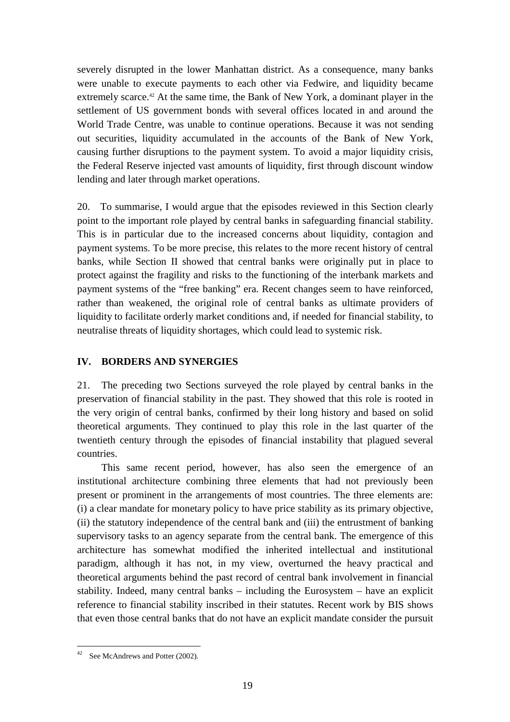<span id="page-20-0"></span>severely disrupted in the lower Manhattan district. As a consequence, many banks were unable to execute payments to each other via Fedwire, and liquidity became extremely scarce.<sup>42</sup> At the same time, the Bank of New York, a dominant player in the settlement of US government bonds with several offices located in and around the World Trade Centre, was unable to continue operations. Because it was not sending out securities, liquidity accumulated in the accounts of the Bank of New York, causing further disruptions to the payment system. To avoid a major liquidity crisis, the Federal Reserve injected vast amounts of liquidity, first through discount window lending and later through market operations.

20. To summarise, I would argue that the episodes reviewed in this Section clearly point to the important role played by central banks in safeguarding financial stability. This is in particular due to the increased concerns about liquidity, contagion and payment systems. To be more precise, this relates to the more recent history of central banks, while Section II showed that central banks were originally put in place to protect against the fragility and risks to the functioning of the interbank markets and payment systems of the "free banking" era. Recent changes seem to have reinforced, rather than weakened, the original role of central banks as ultimate providers of liquidity to facilitate orderly market conditions and, if needed for financial stability, to neutralise threats of liquidity shortages, which could lead to systemic risk.

#### **IV. BORDERS AND SYNERGIES**

21. The preceding two Sections surveyed the role played by central banks in the preservation of financial stability in the past. They showed that this role is rooted in the very origin of central banks, confirmed by their long history and based on solid theoretical arguments. They continued to play this role in the last quarter of the twentieth century through the episodes of financial instability that plagued several countries.

This same recent period, however, has also seen the emergence of an institutional architecture combining three elements that had not previously been present or prominent in the arrangements of most countries. The three elements are: (i) a clear mandate for monetary policy to have price stability as its primary objective, (ii) the statutory independence of the central bank and (iii) the entrustment of banking supervisory tasks to an agency separate from the central bank. The emergence of this architecture has somewhat modified the inherited intellectual and institutional paradigm, although it has not, in my view, overturned the heavy practical and theoretical arguments behind the past record of central bank involvement in financial stability. Indeed, many central banks – including the Eurosystem – have an explicit reference to financial stability inscribed in their statutes. Recent work by BIS shows that even those central banks that do not have an explicit mandate consider the pursuit

 $42$  See McAndrews and Potter (2002).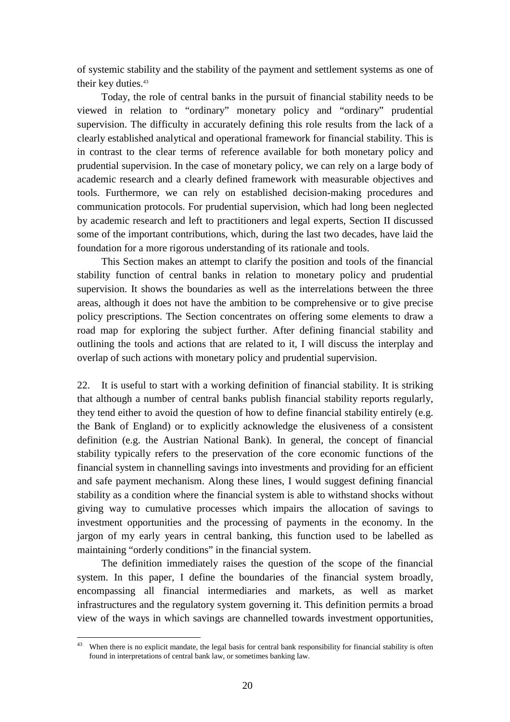of systemic stability and the stability of the payment and settlement systems as one of their key duties.<sup>43</sup>

Today, the role of central banks in the pursuit of financial stability needs to be viewed in relation to "ordinary" monetary policy and "ordinary" prudential supervision. The difficulty in accurately defining this role results from the lack of a clearly established analytical and operational framework for financial stability. This is in contrast to the clear terms of reference available for both monetary policy and prudential supervision. In the case of monetary policy, we can rely on a large body of academic research and a clearly defined framework with measurable objectives and tools. Furthermore, we can rely on established decision-making procedures and communication protocols. For prudential supervision, which had long been neglected by academic research and left to practitioners and legal experts, Section II discussed some of the important contributions, which, during the last two decades, have laid the foundation for a more rigorous understanding of its rationale and tools.

This Section makes an attempt to clarify the position and tools of the financial stability function of central banks in relation to monetary policy and prudential supervision. It shows the boundaries as well as the interrelations between the three areas, although it does not have the ambition to be comprehensive or to give precise policy prescriptions. The Section concentrates on offering some elements to draw a road map for exploring the subject further. After defining financial stability and outlining the tools and actions that are related to it, I will discuss the interplay and overlap of such actions with monetary policy and prudential supervision.

22. It is useful to start with a working definition of financial stability. It is striking that although a number of central banks publish financial stability reports regularly, they tend either to avoid the question of how to define financial stability entirely (e.g. the Bank of England) or to explicitly acknowledge the elusiveness of a consistent definition (e.g. the Austrian National Bank). In general, the concept of financial stability typically refers to the preservation of the core economic functions of the financial system in channelling savings into investments and providing for an efficient and safe payment mechanism. Along these lines, I would suggest defining financial stability as a condition where the financial system is able to withstand shocks without giving way to cumulative processes which impairs the allocation of savings to investment opportunities and the processing of payments in the economy. In the jargon of my early years in central banking, this function used to be labelled as maintaining "orderly conditions" in the financial system.

The definition immediately raises the question of the scope of the financial system. In this paper, I define the boundaries of the financial system broadly, encompassing all financial intermediaries and markets, as well as market infrastructures and the regulatory system governing it. This definition permits a broad view of the ways in which savings are channelled towards investment opportunities,

 $43$ When there is no explicit mandate, the legal basis for central bank responsibility for financial stability is often found in interpretations of central bank law, or sometimes banking law.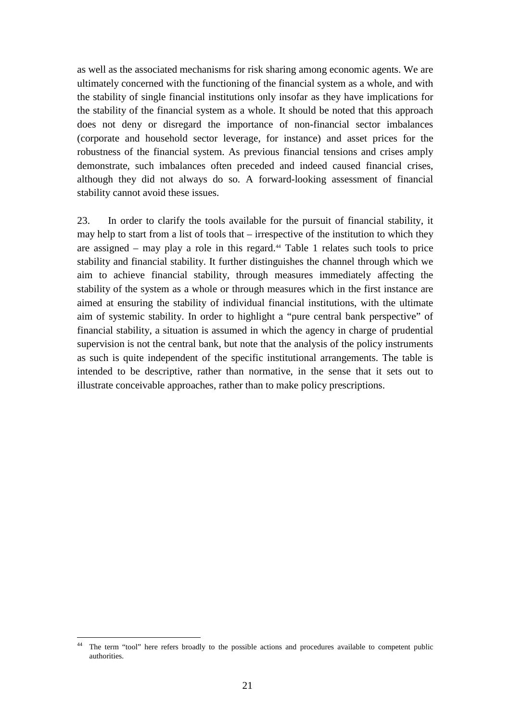as well as the associated mechanisms for risk sharing among economic agents. We are ultimately concerned with the functioning of the financial system as a whole, and with the stability of single financial institutions only insofar as they have implications for the stability of the financial system as a whole. It should be noted that this approach does not deny or disregard the importance of non-financial sector imbalances (corporate and household sector leverage, for instance) and asset prices for the robustness of the financial system. As previous financial tensions and crises amply demonstrate, such imbalances often preceded and indeed caused financial crises, although they did not always do so. A forward-looking assessment of financial stability cannot avoid these issues.

23. In order to clarify the tools available for the pursuit of financial stability, it may help to start from a list of tools that – irrespective of the institution to which they are assigned – may play a role in this regard.<sup>44</sup> Table 1 relates such tools to price stability and financial stability. It further distinguishes the channel through which we aim to achieve financial stability, through measures immediately affecting the stability of the system as a whole or through measures which in the first instance are aimed at ensuring the stability of individual financial institutions, with the ultimate aim of systemic stability. In order to highlight a "pure central bank perspective" of financial stability, a situation is assumed in which the agency in charge of prudential supervision is not the central bank, but note that the analysis of the policy instruments as such is quite independent of the specific institutional arrangements. The table is intended to be descriptive, rather than normative, in the sense that it sets out to illustrate conceivable approaches, rather than to make policy prescriptions.

 $44$ The term "tool" here refers broadly to the possible actions and procedures available to competent public authorities.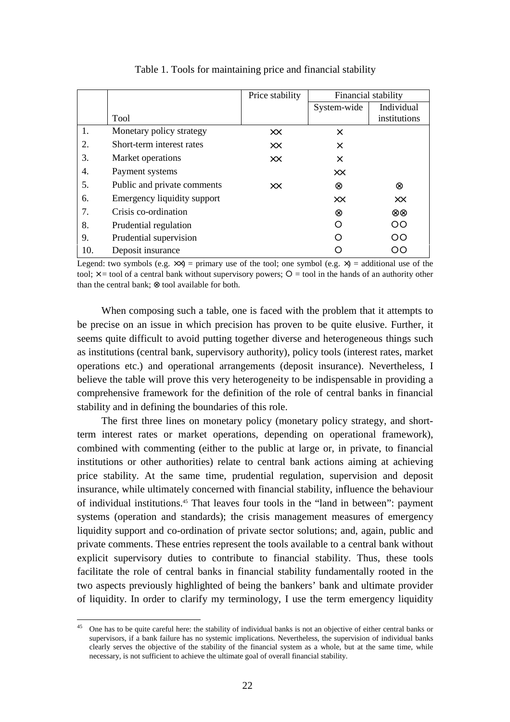|     |                             | Price stability | Financial stability |                  |
|-----|-----------------------------|-----------------|---------------------|------------------|
|     |                             |                 | System-wide         | Individual       |
|     | <b>Tool</b>                 |                 |                     | institutions     |
| 1.  | Monetary policy strategy    | XX.             | $\times$            |                  |
| 2.  | Short-term interest rates   | XX.             | $\times$            |                  |
| 3.  | Market operations           | $\times\times$  | $\times$            |                  |
| 4.  | Payment systems             |                 | XX                  |                  |
| 5.  | Public and private comments | XX              | ⊗                   | ⊗                |
| 6.  | Emergency liquidity support |                 | XX                  | XX               |
| 7.  | Crisis co-ordination        |                 | ⊗                   | $\otimes\otimes$ |
| 8.  | Prudential regulation       |                 |                     | OO               |
| 9.  | Prudential supervision      |                 |                     | OO               |
| 10. | Deposit insurance           |                 |                     | OΟ               |

Table 1. Tools for maintaining price and financial stability

Legend: two symbols (e.g.  $\times \times$ ) = primary use of the tool; one symbol (e.g.  $\times$ ) = additional use of the tool;  $\times$  = tool of a central bank without supervisory powers; O = tool in the hands of an authority other than the central bank; ⊗ tool available for both.

When composing such a table, one is faced with the problem that it attempts to be precise on an issue in which precision has proven to be quite elusive. Further, it seems quite difficult to avoid putting together diverse and heterogeneous things such as institutions (central bank, supervisory authority), policy tools (interest rates, market operations etc.) and operational arrangements (deposit insurance). Nevertheless, I believe the table will prove this very heterogeneity to be indispensable in providing a comprehensive framework for the definition of the role of central banks in financial stability and in defining the boundaries of this role.

The first three lines on monetary policy (monetary policy strategy, and shortterm interest rates or market operations, depending on operational framework), combined with commenting (either to the public at large or, in private, to financial institutions or other authorities) relate to central bank actions aiming at achieving price stability. At the same time, prudential regulation, supervision and deposit insurance, while ultimately concerned with financial stability, influence the behaviour of individual institutions.45 That leaves four tools in the "land in between": payment systems (operation and standards); the crisis management measures of emergency liquidity support and co-ordination of private sector solutions; and, again, public and private comments. These entries represent the tools available to a central bank without explicit supervisory duties to contribute to financial stability. Thus, these tools facilitate the role of central banks in financial stability fundamentally rooted in the two aspects previously highlighted of being the bankers' bank and ultimate provider of liquidity. In order to clarify my terminology, I use the term emergency liquidity

 $45$ 45 One has to be quite careful here: the stability of individual banks is not an objective of either central banks or supervisors, if a bank failure has no systemic implications. Nevertheless, the supervision of individual banks clearly serves the objective of the stability of the financial system as a whole, but at the same time, while necessary, is not sufficient to achieve the ultimate goal of overall financial stability.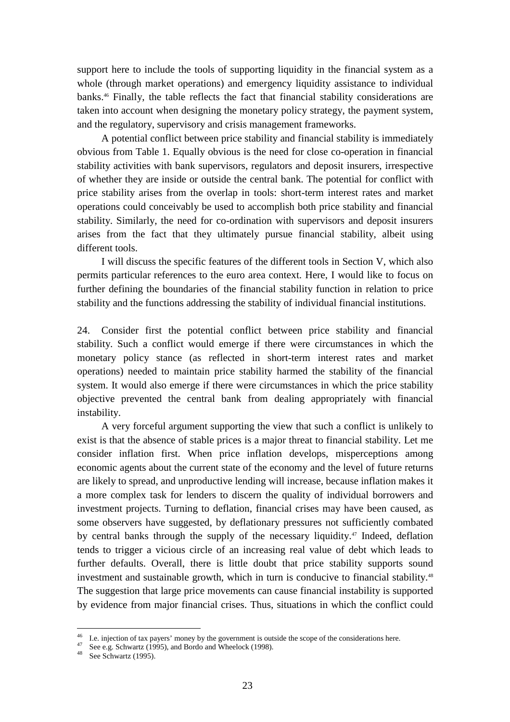support here to include the tools of supporting liquidity in the financial system as a whole (through market operations) and emergency liquidity assistance to individual banks.<sup>46</sup> Finally, the table reflects the fact that financial stability considerations are taken into account when designing the monetary policy strategy, the payment system, and the regulatory, supervisory and crisis management frameworks.

A potential conflict between price stability and financial stability is immediately obvious from Table 1. Equally obvious is the need for close co-operation in financial stability activities with bank supervisors, regulators and deposit insurers, irrespective of whether they are inside or outside the central bank. The potential for conflict with price stability arises from the overlap in tools: short-term interest rates and market operations could conceivably be used to accomplish both price stability and financial stability. Similarly, the need for co-ordination with supervisors and deposit insurers arises from the fact that they ultimately pursue financial stability, albeit using different tools.

I will discuss the specific features of the different tools in Section V, which also permits particular references to the euro area context. Here, I would like to focus on further defining the boundaries of the financial stability function in relation to price stability and the functions addressing the stability of individual financial institutions.

24. Consider first the potential conflict between price stability and financial stability. Such a conflict would emerge if there were circumstances in which the monetary policy stance (as reflected in short-term interest rates and market operations) needed to maintain price stability harmed the stability of the financial system. It would also emerge if there were circumstances in which the price stability objective prevented the central bank from dealing appropriately with financial instability.

A very forceful argument supporting the view that such a conflict is unlikely to exist is that the absence of stable prices is a major threat to financial stability. Let me consider inflation first. When price inflation develops, misperceptions among economic agents about the current state of the economy and the level of future returns are likely to spread, and unproductive lending will increase, because inflation makes it a more complex task for lenders to discern the quality of individual borrowers and investment projects. Turning to deflation, financial crises may have been caused, as some observers have suggested, by deflationary pressures not sufficiently combated by central banks through the supply of the necessary liquidity.47 Indeed, deflation tends to trigger a vicious circle of an increasing real value of debt which leads to further defaults. Overall, there is little doubt that price stability supports sound investment and sustainable growth, which in turn is conducive to financial stability.48 The suggestion that large price movements can cause financial instability is supported by evidence from major financial crises. Thus, situations in which the conflict could

 $46$  I.e. injection of tax payers' money by the government is outside the scope of the considerations here.

 $47$  See e.g. Schwartz (1995), and Bordo and Wheelock (1998).

 $48$  See Schwartz (1995).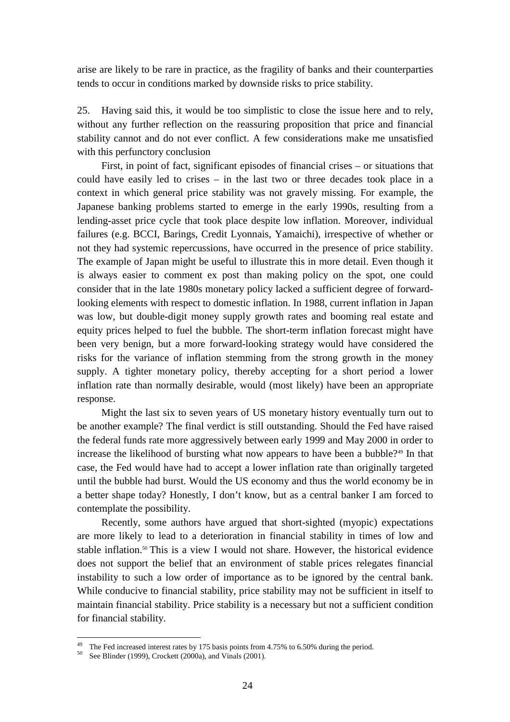arise are likely to be rare in practice, as the fragility of banks and their counterparties tends to occur in conditions marked by downside risks to price stability.

25. Having said this, it would be too simplistic to close the issue here and to rely, without any further reflection on the reassuring proposition that price and financial stability cannot and do not ever conflict. A few considerations make me unsatisfied with this perfunctory conclusion

First, in point of fact, significant episodes of financial crises – or situations that could have easily led to crises – in the last two or three decades took place in a context in which general price stability was not gravely missing. For example, the Japanese banking problems started to emerge in the early 1990s, resulting from a lending-asset price cycle that took place despite low inflation. Moreover, individual failures (e.g. BCCI, Barings, Credit Lyonnais, Yamaichi), irrespective of whether or not they had systemic repercussions, have occurred in the presence of price stability. The example of Japan might be useful to illustrate this in more detail. Even though it is always easier to comment ex post than making policy on the spot, one could consider that in the late 1980s monetary policy lacked a sufficient degree of forwardlooking elements with respect to domestic inflation. In 1988, current inflation in Japan was low, but double-digit money supply growth rates and booming real estate and equity prices helped to fuel the bubble. The short-term inflation forecast might have been very benign, but a more forward-looking strategy would have considered the risks for the variance of inflation stemming from the strong growth in the money supply. A tighter monetary policy, thereby accepting for a short period a lower inflation rate than normally desirable, would (most likely) have been an appropriate response.

Might the last six to seven years of US monetary history eventually turn out to be another example? The final verdict is still outstanding. Should the Fed have raised the federal funds rate more aggressively between early 1999 and May 2000 in order to increase the likelihood of bursting what now appears to have been a bubble?<sup>49</sup> In that case, the Fed would have had to accept a lower inflation rate than originally targeted until the bubble had burst. Would the US economy and thus the world economy be in a better shape today? Honestly, I don't know, but as a central banker I am forced to contemplate the possibility.

Recently, some authors have argued that short-sighted (myopic) expectations are more likely to lead to a deterioration in financial stability in times of low and stable inflation.<sup>50</sup> This is a view I would not share. However, the historical evidence does not support the belief that an environment of stable prices relegates financial instability to such a low order of importance as to be ignored by the central bank. While conducive to financial stability, price stability may not be sufficient in itself to maintain financial stability. Price stability is a necessary but not a sufficient condition for financial stability.

<sup>&</sup>lt;sup>49</sup> The Fed increased interest rates by 175 basis points from 4.75% to 6.50% during the period.

<sup>&</sup>lt;sup>50</sup> See Blinder (1999), Crockett (2000a), and Vinals (2001).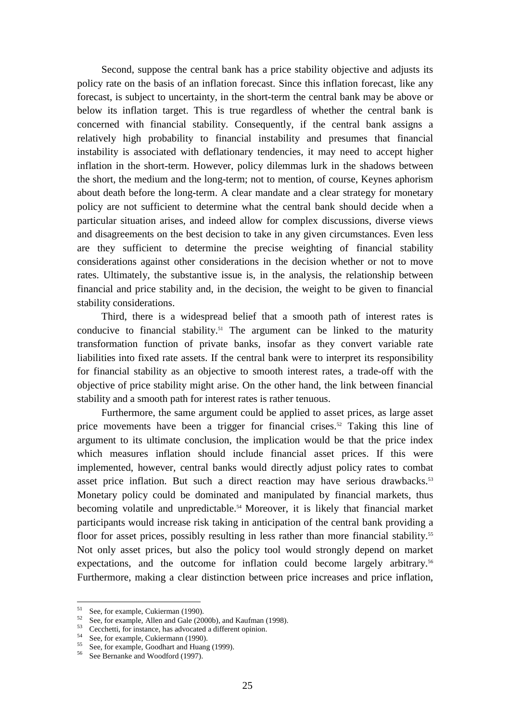Second, suppose the central bank has a price stability objective and adjusts its policy rate on the basis of an inflation forecast. Since this inflation forecast, like any forecast, is subject to uncertainty, in the short-term the central bank may be above or below its inflation target. This is true regardless of whether the central bank is concerned with financial stability. Consequently, if the central bank assigns a relatively high probability to financial instability and presumes that financial instability is associated with deflationary tendencies, it may need to accept higher inflation in the short-term. However, policy dilemmas lurk in the shadows between the short, the medium and the long-term; not to mention, of course, Keynes aphorism about death before the long-term. A clear mandate and a clear strategy for monetary policy are not sufficient to determine what the central bank should decide when a particular situation arises, and indeed allow for complex discussions, diverse views and disagreements on the best decision to take in any given circumstances. Even less are they sufficient to determine the precise weighting of financial stability considerations against other considerations in the decision whether or not to move rates. Ultimately, the substantive issue is, in the analysis, the relationship between financial and price stability and, in the decision, the weight to be given to financial stability considerations.

Third, there is a widespread belief that a smooth path of interest rates is conducive to financial stability.<sup>51</sup> The argument can be linked to the maturity transformation function of private banks, insofar as they convert variable rate liabilities into fixed rate assets. If the central bank were to interpret its responsibility for financial stability as an objective to smooth interest rates, a trade-off with the objective of price stability might arise. On the other hand, the link between financial stability and a smooth path for interest rates is rather tenuous.

Furthermore, the same argument could be applied to asset prices, as large asset price movements have been a trigger for financial crises.<sup>52</sup> Taking this line of argument to its ultimate conclusion, the implication would be that the price index which measures inflation should include financial asset prices. If this were implemented, however, central banks would directly adjust policy rates to combat asset price inflation. But such a direct reaction may have serious drawbacks.<sup>53</sup> Monetary policy could be dominated and manipulated by financial markets, thus becoming volatile and unpredictable.<sup>54</sup> Moreover, it is likely that financial market participants would increase risk taking in anticipation of the central bank providing a floor for asset prices, possibly resulting in less rather than more financial stability.<sup>55</sup> Not only asset prices, but also the policy tool would strongly depend on market expectations, and the outcome for inflation could become largely arbitrary.<sup>56</sup> Furthermore, making a clear distinction between price increases and price inflation,

<sup>&</sup>lt;sup>51</sup> See, for example, Cukierman (1990).

 $52$  See, for example, Allen and Gale (2000b), and Kaufman (1998).

 $53$  Cecchetti, for instance, has advocated a different opinion.

<sup>&</sup>lt;sup>54</sup> See, for example, Cukiermann (1990).

<sup>&</sup>lt;sup>55</sup> See, for example, Goodhart and Huang (1999).

<sup>56</sup> See Bernanke and Woodford (1997).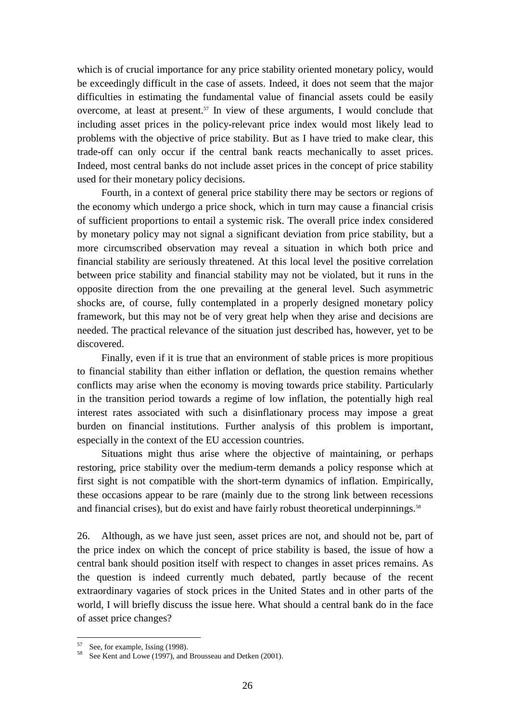which is of crucial importance for any price stability oriented monetary policy, would be exceedingly difficult in the case of assets. Indeed, it does not seem that the major difficulties in estimating the fundamental value of financial assets could be easily overcome, at least at present.57 In view of these arguments, I would conclude that including asset prices in the policy-relevant price index would most likely lead to problems with the objective of price stability. But as I have tried to make clear, this trade-off can only occur if the central bank reacts mechanically to asset prices. Indeed, most central banks do not include asset prices in the concept of price stability used for their monetary policy decisions.

Fourth, in a context of general price stability there may be sectors or regions of the economy which undergo a price shock, which in turn may cause a financial crisis of sufficient proportions to entail a systemic risk. The overall price index considered by monetary policy may not signal a significant deviation from price stability, but a more circumscribed observation may reveal a situation in which both price and financial stability are seriously threatened. At this local level the positive correlation between price stability and financial stability may not be violated, but it runs in the opposite direction from the one prevailing at the general level. Such asymmetric shocks are, of course, fully contemplated in a properly designed monetary policy framework, but this may not be of very great help when they arise and decisions are needed. The practical relevance of the situation just described has, however, yet to be discovered.

Finally, even if it is true that an environment of stable prices is more propitious to financial stability than either inflation or deflation, the question remains whether conflicts may arise when the economy is moving towards price stability. Particularly in the transition period towards a regime of low inflation, the potentially high real interest rates associated with such a disinflationary process may impose a great burden on financial institutions. Further analysis of this problem is important, especially in the context of the EU accession countries.

Situations might thus arise where the objective of maintaining, or perhaps restoring, price stability over the medium-term demands a policy response which at first sight is not compatible with the short-term dynamics of inflation. Empirically, these occasions appear to be rare (mainly due to the strong link between recessions and financial crises), but do exist and have fairly robust theoretical underpinnings.<sup>58</sup>

26. Although, as we have just seen, asset prices are not, and should not be, part of the price index on which the concept of price stability is based, the issue of how a central bank should position itself with respect to changes in asset prices remains. As the question is indeed currently much debated, partly because of the recent extraordinary vagaries of stock prices in the United States and in other parts of the world, I will briefly discuss the issue here. What should a central bank do in the face of asset price changes?

 $57$  See, for example, Issing (1998).

<sup>&</sup>lt;sup>58</sup> See Kent and Lowe (1997), and Brousseau and Detken (2001).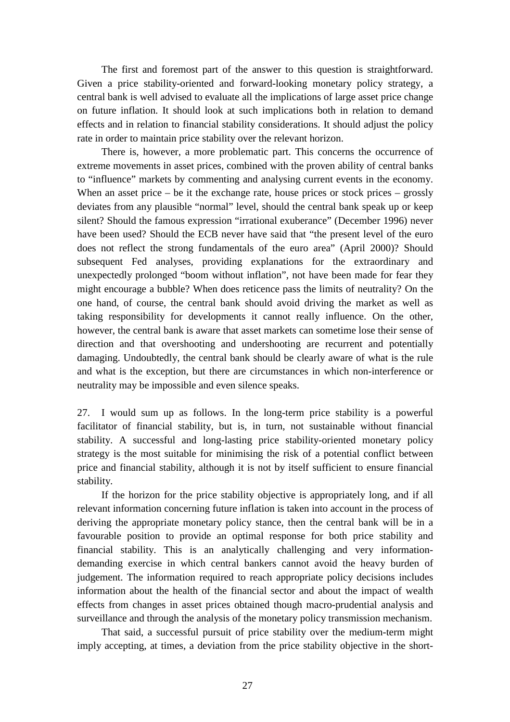The first and foremost part of the answer to this question is straightforward. Given a price stability-oriented and forward-looking monetary policy strategy, a central bank is well advised to evaluate all the implications of large asset price change on future inflation. It should look at such implications both in relation to demand effects and in relation to financial stability considerations. It should adjust the policy rate in order to maintain price stability over the relevant horizon.

There is, however, a more problematic part. This concerns the occurrence of extreme movements in asset prices, combined with the proven ability of central banks to "influence" markets by commenting and analysing current events in the economy. When an asset price – be it the exchange rate, house prices or stock prices – grossly deviates from any plausible "normal" level, should the central bank speak up or keep silent? Should the famous expression "irrational exuberance" (December 1996) never have been used? Should the ECB never have said that "the present level of the euro does not reflect the strong fundamentals of the euro area" (April 2000)? Should subsequent Fed analyses, providing explanations for the extraordinary and unexpectedly prolonged "boom without inflation", not have been made for fear they might encourage a bubble? When does reticence pass the limits of neutrality? On the one hand, of course, the central bank should avoid driving the market as well as taking responsibility for developments it cannot really influence. On the other, however, the central bank is aware that asset markets can sometime lose their sense of direction and that overshooting and undershooting are recurrent and potentially damaging. Undoubtedly, the central bank should be clearly aware of what is the rule and what is the exception, but there are circumstances in which non-interference or neutrality may be impossible and even silence speaks.

27. I would sum up as follows. In the long-term price stability is a powerful facilitator of financial stability, but is, in turn, not sustainable without financial stability. A successful and long-lasting price stability-oriented monetary policy strategy is the most suitable for minimising the risk of a potential conflict between price and financial stability, although it is not by itself sufficient to ensure financial stability.

If the horizon for the price stability objective is appropriately long, and if all relevant information concerning future inflation is taken into account in the process of deriving the appropriate monetary policy stance, then the central bank will be in a favourable position to provide an optimal response for both price stability and financial stability. This is an analytically challenging and very informationdemanding exercise in which central bankers cannot avoid the heavy burden of judgement. The information required to reach appropriate policy decisions includes information about the health of the financial sector and about the impact of wealth effects from changes in asset prices obtained though macro-prudential analysis and surveillance and through the analysis of the monetary policy transmission mechanism.

That said, a successful pursuit of price stability over the medium-term might imply accepting, at times, a deviation from the price stability objective in the short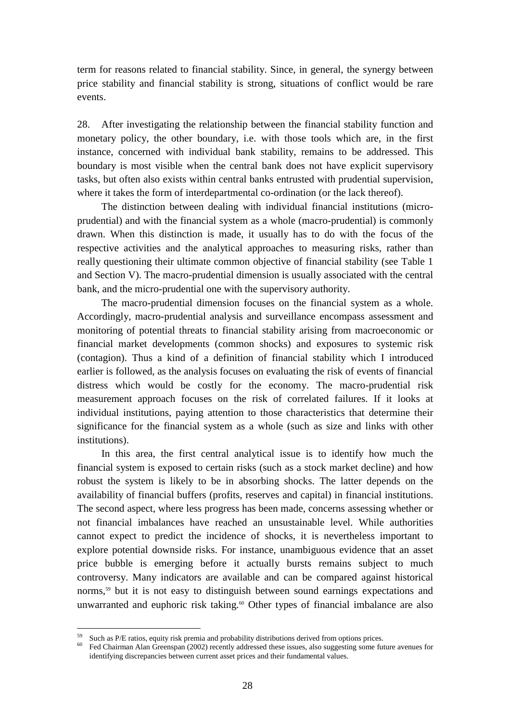term for reasons related to financial stability. Since, in general, the synergy between price stability and financial stability is strong, situations of conflict would be rare events.

28. After investigating the relationship between the financial stability function and monetary policy, the other boundary, i.e. with those tools which are, in the first instance, concerned with individual bank stability, remains to be addressed. This boundary is most visible when the central bank does not have explicit supervisory tasks, but often also exists within central banks entrusted with prudential supervision, where it takes the form of interdepartmental co-ordination (or the lack thereof).

The distinction between dealing with individual financial institutions (microprudential) and with the financial system as a whole (macro-prudential) is commonly drawn. When this distinction is made, it usually has to do with the focus of the respective activities and the analytical approaches to measuring risks, rather than really questioning their ultimate common objective of financial stability (see Table 1 and Section V). The macro-prudential dimension is usually associated with the central bank, and the micro-prudential one with the supervisory authority.

The macro-prudential dimension focuses on the financial system as a whole. Accordingly, macro-prudential analysis and surveillance encompass assessment and monitoring of potential threats to financial stability arising from macroeconomic or financial market developments (common shocks) and exposures to systemic risk (contagion). Thus a kind of a definition of financial stability which I introduced earlier is followed, as the analysis focuses on evaluating the risk of events of financial distress which would be costly for the economy. The macro-prudential risk measurement approach focuses on the risk of correlated failures. If it looks at individual institutions, paying attention to those characteristics that determine their significance for the financial system as a whole (such as size and links with other institutions).

In this area, the first central analytical issue is to identify how much the financial system is exposed to certain risks (such as a stock market decline) and how robust the system is likely to be in absorbing shocks. The latter depends on the availability of financial buffers (profits, reserves and capital) in financial institutions. The second aspect, where less progress has been made, concerns assessing whether or not financial imbalances have reached an unsustainable level. While authorities cannot expect to predict the incidence of shocks, it is nevertheless important to explore potential downside risks. For instance, unambiguous evidence that an asset price bubble is emerging before it actually bursts remains subject to much controversy. Many indicators are available and can be compared against historical norms,<sup>59</sup> but it is not easy to distinguish between sound earnings expectations and unwarranted and euphoric risk taking.<sup>60</sup> Other types of financial imbalance are also

<sup>&</sup>lt;sup>59</sup> Such as P/E ratios, equity risk premia and probability distributions derived from options prices.<br><sup>60</sup> E-4 Chairman Alan Casananan (2003) presents addressed these issues, also presenting same for

<sup>60</sup> Fed Chairman Alan Greenspan (2002) recently addressed these issues, also suggesting some future avenues for identifying discrepancies between current asset prices and their fundamental values.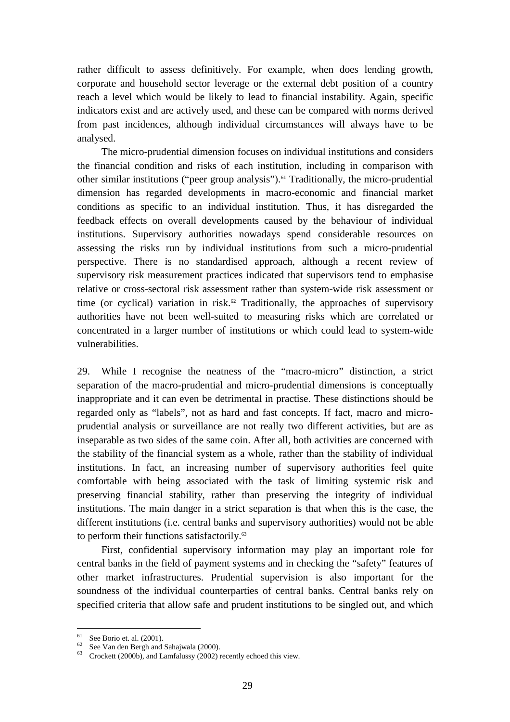rather difficult to assess definitively. For example, when does lending growth, corporate and household sector leverage or the external debt position of a country reach a level which would be likely to lead to financial instability. Again, specific indicators exist and are actively used, and these can be compared with norms derived from past incidences, although individual circumstances will always have to be analysed.

The micro-prudential dimension focuses on individual institutions and considers the financial condition and risks of each institution, including in comparison with other similar institutions ("peer group analysis").<sup>61</sup> Traditionally, the micro-prudential dimension has regarded developments in macro-economic and financial market conditions as specific to an individual institution. Thus, it has disregarded the feedback effects on overall developments caused by the behaviour of individual institutions. Supervisory authorities nowadays spend considerable resources on assessing the risks run by individual institutions from such a micro-prudential perspective. There is no standardised approach, although a recent review of supervisory risk measurement practices indicated that supervisors tend to emphasise relative or cross-sectoral risk assessment rather than system-wide risk assessment or time (or cyclical) variation in risk.<sup> $\omega$ </sup> Traditionally, the approaches of supervisory authorities have not been well-suited to measuring risks which are correlated or concentrated in a larger number of institutions or which could lead to system-wide vulnerabilities.

29. While I recognise the neatness of the "macro-micro" distinction, a strict separation of the macro-prudential and micro-prudential dimensions is conceptually inappropriate and it can even be detrimental in practise. These distinctions should be regarded only as "labels", not as hard and fast concepts. If fact, macro and microprudential analysis or surveillance are not really two different activities, but are as inseparable as two sides of the same coin. After all, both activities are concerned with the stability of the financial system as a whole, rather than the stability of individual institutions. In fact, an increasing number of supervisory authorities feel quite comfortable with being associated with the task of limiting systemic risk and preserving financial stability, rather than preserving the integrity of individual institutions. The main danger in a strict separation is that when this is the case, the different institutions (i.e. central banks and supervisory authorities) would not be able to perform their functions satisfactorily.<sup>63</sup>

First, confidential supervisory information may play an important role for central banks in the field of payment systems and in checking the "safety" features of other market infrastructures. Prudential supervision is also important for the soundness of the individual counterparties of central banks. Central banks rely on specified criteria that allow safe and prudent institutions to be singled out, and which

 $61$  See Borio et. al. (2001).

 $62$  See Van den Bergh and Sahajwala (2000).

<sup>63</sup> Crockett (2000b), and Lamfalussy (2002) recently echoed this view.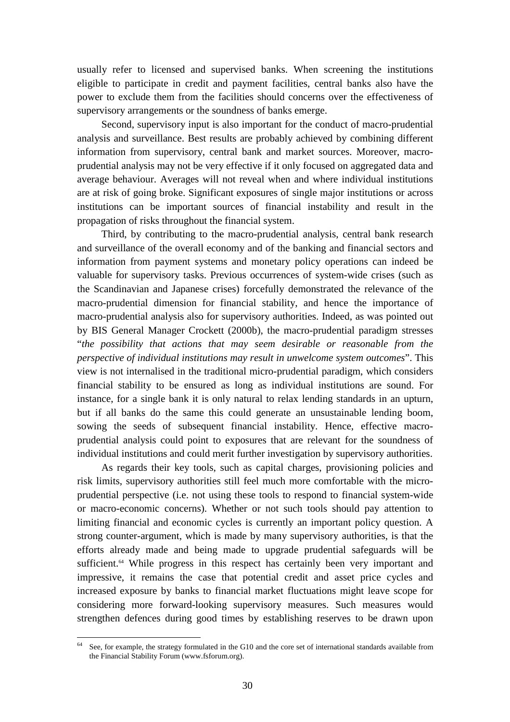usually refer to licensed and supervised banks. When screening the institutions eligible to participate in credit and payment facilities, central banks also have the power to exclude them from the facilities should concerns over the effectiveness of supervisory arrangements or the soundness of banks emerge.

Second, supervisory input is also important for the conduct of macro-prudential analysis and surveillance. Best results are probably achieved by combining different information from supervisory, central bank and market sources. Moreover, macroprudential analysis may not be very effective if it only focused on aggregated data and average behaviour. Averages will not reveal when and where individual institutions are at risk of going broke. Significant exposures of single major institutions or across institutions can be important sources of financial instability and result in the propagation of risks throughout the financial system.

Third, by contributing to the macro-prudential analysis, central bank research and surveillance of the overall economy and of the banking and financial sectors and information from payment systems and monetary policy operations can indeed be valuable for supervisory tasks. Previous occurrences of system-wide crises (such as the Scandinavian and Japanese crises) forcefully demonstrated the relevance of the macro-prudential dimension for financial stability, and hence the importance of macro-prudential analysis also for supervisory authorities. Indeed, as was pointed out by BIS General Manager Crockett (2000b), the macro-prudential paradigm stresses "*the possibility that actions that may seem desirable or reasonable from the perspective of individual institutions may result in unwelcome system outcomes*". This view is not internalised in the traditional micro-prudential paradigm, which considers financial stability to be ensured as long as individual institutions are sound. For instance, for a single bank it is only natural to relax lending standards in an upturn, but if all banks do the same this could generate an unsustainable lending boom, sowing the seeds of subsequent financial instability. Hence, effective macroprudential analysis could point to exposures that are relevant for the soundness of individual institutions and could merit further investigation by supervisory authorities.

As regards their key tools, such as capital charges, provisioning policies and risk limits, supervisory authorities still feel much more comfortable with the microprudential perspective (i.e. not using these tools to respond to financial system-wide or macro-economic concerns). Whether or not such tools should pay attention to limiting financial and economic cycles is currently an important policy question. A strong counter-argument, which is made by many supervisory authorities, is that the efforts already made and being made to upgrade prudential safeguards will be sufficient.<sup>64</sup> While progress in this respect has certainly been very important and impressive, it remains the case that potential credit and asset price cycles and increased exposure by banks to financial market fluctuations might leave scope for considering more forward-looking supervisory measures. Such measures would strengthen defences during good times by establishing reserves to be drawn upon

 $\overline{a}$ See, for example, the strategy formulated in the G10 and the core set of international standards available from the Financial Stability Forum (www.fsforum.org).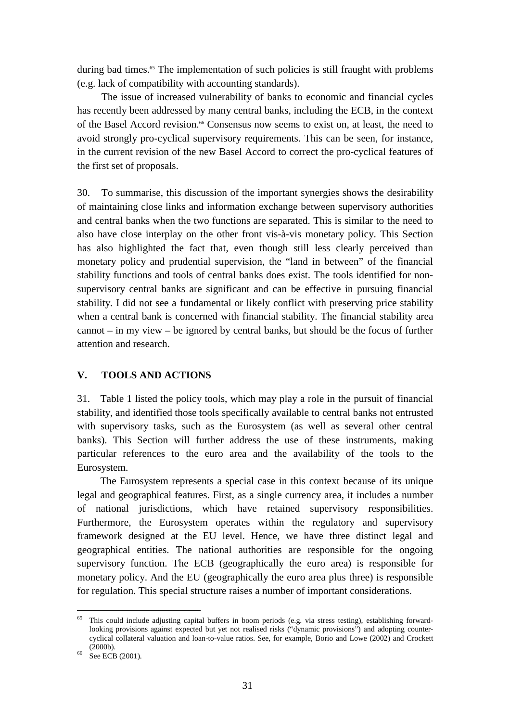<span id="page-32-0"></span>during bad times.<sup>65</sup> The implementation of such policies is still fraught with problems (e.g. lack of compatibility with accounting standards).

The issue of increased vulnerability of banks to economic and financial cycles has recently been addressed by many central banks, including the ECB, in the context of the Basel Accord revision.66 Consensus now seems to exist on, at least, the need to avoid strongly pro-cyclical supervisory requirements. This can be seen, for instance, in the current revision of the new Basel Accord to correct the pro-cyclical features of the first set of proposals.

30. To summarise, this discussion of the important synergies shows the desirability of maintaining close links and information exchange between supervisory authorities and central banks when the two functions are separated. This is similar to the need to also have close interplay on the other front vis-à-vis monetary policy. This Section has also highlighted the fact that, even though still less clearly perceived than monetary policy and prudential supervision, the "land in between" of the financial stability functions and tools of central banks does exist. The tools identified for nonsupervisory central banks are significant and can be effective in pursuing financial stability. I did not see a fundamental or likely conflict with preserving price stability when a central bank is concerned with financial stability. The financial stability area cannot – in my view – be ignored by central banks, but should be the focus of further attention and research.

#### **V. TOOLS AND ACTIONS**

31. Table 1 listed the policy tools, which may play a role in the pursuit of financial stability, and identified those tools specifically available to central banks not entrusted with supervisory tasks, such as the Eurosystem (as well as several other central banks). This Section will further address the use of these instruments, making particular references to the euro area and the availability of the tools to the Eurosystem.

The Eurosystem represents a special case in this context because of its unique legal and geographical features. First, as a single currency area, it includes a number of national jurisdictions, which have retained supervisory responsibilities. Furthermore, the Eurosystem operates within the regulatory and supervisory framework designed at the EU level. Hence, we have three distinct legal and geographical entities. The national authorities are responsible for the ongoing supervisory function. The ECB (geographically the euro area) is responsible for monetary policy. And the EU (geographically the euro area plus three) is responsible for regulation. This special structure raises a number of important considerations.

<sup>&</sup>lt;sup>65</sup> This could include adjusting capital buffers in boom periods (e.g. via stress testing), establishing forwardlooking provisions against expected but yet not realised risks ("dynamic provisions") and adopting countercyclical collateral valuation and loan-to-value ratios. See, for example, Borio and Lowe (2002) and Crockett

<sup>(2000</sup>b).<br>
66 See ECB (2001).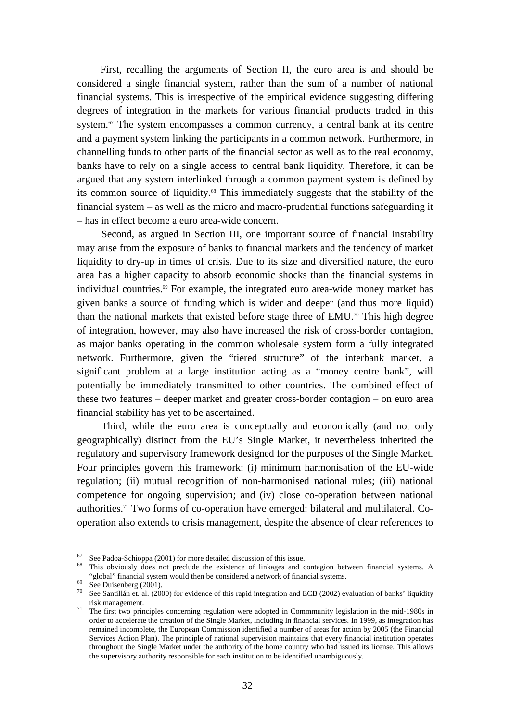First, recalling the arguments of Section II, the euro area is and should be considered a single financial system, rather than the sum of a number of national financial systems. This is irrespective of the empirical evidence suggesting differing degrees of integration in the markets for various financial products traded in this system.<sup>67</sup> The system encompasses a common currency, a central bank at its centre and a payment system linking the participants in a common network. Furthermore, in channelling funds to other parts of the financial sector as well as to the real economy, banks have to rely on a single access to central bank liquidity. Therefore, it can be argued that any system interlinked through a common payment system is defined by its common source of liquidity.68 This immediately suggests that the stability of the financial system – as well as the micro and macro-prudential functions safeguarding it – has in effect become a euro area-wide concern.

Second, as argued in Section III, one important source of financial instability may arise from the exposure of banks to financial markets and the tendency of market liquidity to dry-up in times of crisis. Due to its size and diversified nature, the euro area has a higher capacity to absorb economic shocks than the financial systems in individual countries.<sup>69</sup> For example, the integrated euro area-wide money market has given banks a source of funding which is wider and deeper (and thus more liquid) than the national markets that existed before stage three of EMU.70 This high degree of integration, however, may also have increased the risk of cross-border contagion, as major banks operating in the common wholesale system form a fully integrated network. Furthermore, given the "tiered structure" of the interbank market, a significant problem at a large institution acting as a "money centre bank", will potentially be immediately transmitted to other countries. The combined effect of these two features – deeper market and greater cross-border contagion – on euro area financial stability has yet to be ascertained.

Third, while the euro area is conceptually and economically (and not only geographically) distinct from the EU's Single Market, it nevertheless inherited the regulatory and supervisory framework designed for the purposes of the Single Market. Four principles govern this framework: (i) minimum harmonisation of the EU-wide regulation; (ii) mutual recognition of non-harmonised national rules; (iii) national competence for ongoing supervision; and (iv) close co-operation between national authorities.71 Two forms of co-operation have emerged: bilateral and multilateral. Cooperation also extends to crisis management, despite the absence of clear references to

See Padoa-Schioppa (2001) for more detailed discussion of this issue.

<sup>&</sup>lt;sup>68</sup> This obviously does not preclude the existence of linkages and contagion between financial systems. A "global" financial system would then be considered a network of financial systems.<br>
See Duisenberg (2001).<br>  $\frac{70}{70}$  See Duisenberg (2002).

See Santillán et. al. (2000) for evidence of this rapid integration and ECB (2002) evaluation of banks' liquidity risk management.

 $\frac{71}{10}$  The first two principles concerning regulation were adopted in Commmunity legislation in the mid-1980s in order to accelerate the creation of the Single Market, including in financial services. In 1999, as integration has remained incomplete, the European Commission identified a number of areas for action by 2005 (the Financial Services Action Plan). The principle of national supervision maintains that every financial institution operates throughout the Single Market under the authority of the home country who had issued its license. This allows the supervisory authority responsible for each institution to be identified unambiguously.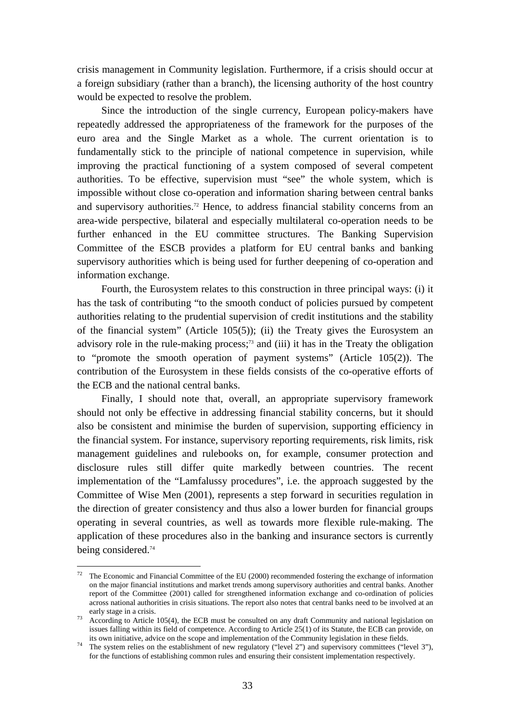crisis management in Community legislation. Furthermore, if a crisis should occur at a foreign subsidiary (rather than a branch), the licensing authority of the host country would be expected to resolve the problem.

Since the introduction of the single currency, European policy-makers have repeatedly addressed the appropriateness of the framework for the purposes of the euro area and the Single Market as a whole. The current orientation is to fundamentally stick to the principle of national competence in supervision, while improving the practical functioning of a system composed of several competent authorities. To be effective, supervision must "see" the whole system, which is impossible without close co-operation and information sharing between central banks and supervisory authorities.<sup>72</sup> Hence, to address financial stability concerns from an area-wide perspective, bilateral and especially multilateral co-operation needs to be further enhanced in the EU committee structures. The Banking Supervision Committee of the ESCB provides a platform for EU central banks and banking supervisory authorities which is being used for further deepening of co-operation and information exchange.

Fourth, the Eurosystem relates to this construction in three principal ways: (i) it has the task of contributing "to the smooth conduct of policies pursued by competent authorities relating to the prudential supervision of credit institutions and the stability of the financial system" (Article 105(5)); (ii) the Treaty gives the Eurosystem an advisory role in the rule-making process;<sup>73</sup> and (iii) it has in the Treaty the obligation to "promote the smooth operation of payment systems" (Article 105(2)). The contribution of the Eurosystem in these fields consists of the co-operative efforts of the ECB and the national central banks.

Finally, I should note that, overall, an appropriate supervisory framework should not only be effective in addressing financial stability concerns, but it should also be consistent and minimise the burden of supervision, supporting efficiency in the financial system. For instance, supervisory reporting requirements, risk limits, risk management guidelines and rulebooks on, for example, consumer protection and disclosure rules still differ quite markedly between countries. The recent implementation of the "Lamfalussy procedures", i.e. the approach suggested by the Committee of Wise Men (2001), represents a step forward in securities regulation in the direction of greater consistency and thus also a lower burden for financial groups operating in several countries, as well as towards more flexible rule-making. The application of these procedures also in the banking and insurance sectors is currently being considered.74

The Economic and Financial Committee of the EU (2000) recommended fostering the exchange of information on the major financial institutions and market trends among supervisory authorities and central banks. Another report of the Committee (2001) called for strengthened information exchange and co-ordination of policies across national authorities in crisis situations. The report also notes that central banks need to be involved at an

early stage in a crisis.<br>
According to Article 105(4), the ECB must be consulted on any draft Community and national legislation on issues falling within its field of competence. According to Article 25(1) of its Statute, the ECB can provide, on its own initiative, advice on the scope and implementation of the Community legislation in these fields.

The system relies on the establishment of new regulatory ("level 2") and supervisory committees ("level 3"), for the functions of establishing common rules and ensuring their consistent implementation respectively.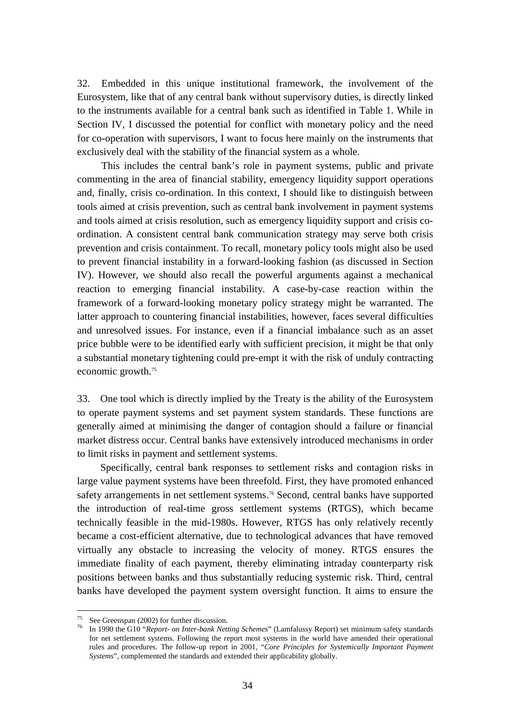32. Embedded in this unique institutional framework, the involvement of the Eurosystem, like that of any central bank without supervisory duties, is directly linked to the instruments available for a central bank such as identified in Table 1. While in Section IV, I discussed the potential for conflict with monetary policy and the need for co-operation with supervisors, I want to focus here mainly on the instruments that exclusively deal with the stability of the financial system as a whole.

This includes the central bank's role in payment systems, public and private commenting in the area of financial stability, emergency liquidity support operations and, finally, crisis co-ordination. In this context, I should like to distinguish between tools aimed at crisis prevention, such as central bank involvement in payment systems and tools aimed at crisis resolution, such as emergency liquidity support and crisis coordination. A consistent central bank communication strategy may serve both crisis prevention and crisis containment. To recall, monetary policy tools might also be used to prevent financial instability in a forward-looking fashion (as discussed in Section IV). However, we should also recall the powerful arguments against a mechanical reaction to emerging financial instability. A case-by-case reaction within the framework of a forward-looking monetary policy strategy might be warranted. The latter approach to countering financial instabilities, however, faces several difficulties and unresolved issues. For instance, even if a financial imbalance such as an asset price bubble were to be identified early with sufficient precision, it might be that only a substantial monetary tightening could pre-empt it with the risk of unduly contracting economic growth.75

33. One tool which is directly implied by the Treaty is the ability of the Eurosystem to operate payment systems and set payment system standards. These functions are generally aimed at minimising the danger of contagion should a failure or financial market distress occur. Central banks have extensively introduced mechanisms in order to limit risks in payment and settlement systems.

Specifically, central bank responses to settlement risks and contagion risks in large value payment systems have been threefold. First, they have promoted enhanced safety arrangements in net settlement systems.<sup>76</sup> Second, central banks have supported the introduction of real-time gross settlement systems (RTGS), which became technically feasible in the mid-1980s. However, RTGS has only relatively recently became a cost-efficient alternative, due to technological advances that have removed virtually any obstacle to increasing the velocity of money. RTGS ensures the immediate finality of each payment, thereby eliminating intraday counterparty risk positions between banks and thus substantially reducing systemic risk. Third, central banks have developed the payment system oversight function. It aims to ensure the

<sup>&</sup>lt;sup>75</sup> See Greenspan (2002) for further discussion.

<sup>76</sup> In 1990 the G10 "*Report- on Inter-bank Netting Schemes*" (Lamfalussy Report) set minimum safety standards for net settlement systems. Following the report most systems in the world have amended their operational rules and procedures. The follow-up report in 2001, "*Core Principles for Systemically Important Payment Systems*", complemented the standards and extended their applicability globally.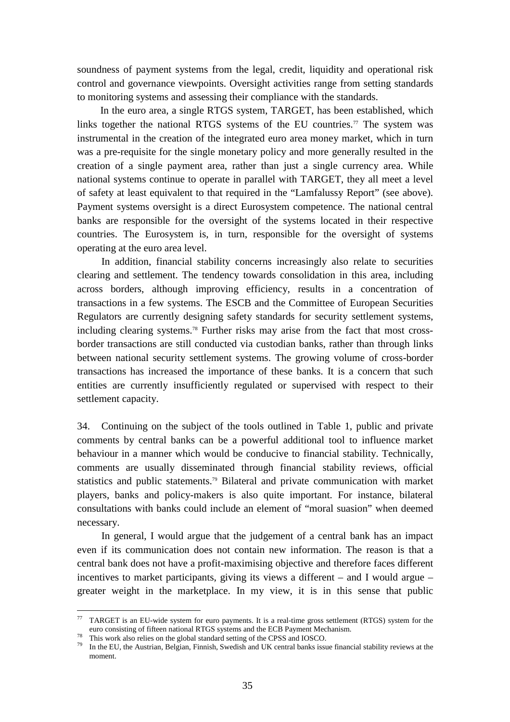soundness of payment systems from the legal, credit, liquidity and operational risk control and governance viewpoints. Oversight activities range from setting standards to monitoring systems and assessing their compliance with the standards.

In the euro area, a single RTGS system, TARGET, has been established, which links together the national RTGS systems of the EU countries.<sup>77</sup> The system was instrumental in the creation of the integrated euro area money market, which in turn was a pre-requisite for the single monetary policy and more generally resulted in the creation of a single payment area, rather than just a single currency area. While national systems continue to operate in parallel with TARGET, they all meet a level of safety at least equivalent to that required in the "Lamfalussy Report" (see above). Payment systems oversight is a direct Eurosystem competence. The national central banks are responsible for the oversight of the systems located in their respective countries. The Eurosystem is, in turn, responsible for the oversight of systems operating at the euro area level.

In addition, financial stability concerns increasingly also relate to securities clearing and settlement. The tendency towards consolidation in this area, including across borders, although improving efficiency, results in a concentration of transactions in a few systems. The ESCB and the Committee of European Securities Regulators are currently designing safety standards for security settlement systems, including clearing systems.78 Further risks may arise from the fact that most crossborder transactions are still conducted via custodian banks, rather than through links between national security settlement systems. The growing volume of cross-border transactions has increased the importance of these banks. It is a concern that such entities are currently insufficiently regulated or supervised with respect to their settlement capacity.

34. Continuing on the subject of the tools outlined in Table 1, public and private comments by central banks can be a powerful additional tool to influence market behaviour in a manner which would be conducive to financial stability. Technically, comments are usually disseminated through financial stability reviews, official statistics and public statements.79 Bilateral and private communication with market players, banks and policy-makers is also quite important. For instance, bilateral consultations with banks could include an element of "moral suasion" when deemed necessary.

In general, I would argue that the judgement of a central bank has an impact even if its communication does not contain new information. The reason is that a central bank does not have a profit-maximising objective and therefore faces different incentives to market participants, giving its views a different – and I would argue – greater weight in the marketplace. In my view, it is in this sense that public

<sup>77</sup> TARGET is an EU-wide system for euro payments. It is a real-time gross settlement (RTGS) system for the euro consisting of fifteen national RTGS systems and the ECB Payment Mechanism. 78 This work also relies on the global standard setting of the CPSS and IOSCO.

<sup>&</sup>lt;sup>79</sup> In the EU, the Austrian, Belgian, Finnish, Swedish and UK central banks issue financial stability reviews at the moment.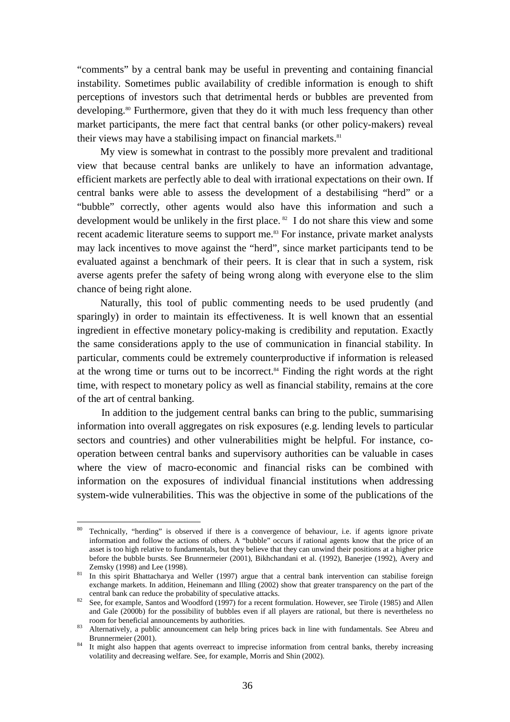"comments" by a central bank may be useful in preventing and containing financial instability. Sometimes public availability of credible information is enough to shift perceptions of investors such that detrimental herds or bubbles are prevented from developing.80 Furthermore, given that they do it with much less frequency than other market participants, the mere fact that central banks (or other policy-makers) reveal their views may have a stabilising impact on financial markets.<sup>81</sup>

My view is somewhat in contrast to the possibly more prevalent and traditional view that because central banks are unlikely to have an information advantage, efficient markets are perfectly able to deal with irrational expectations on their own. If central banks were able to assess the development of a destabilising "herd" or a "bubble" correctly, other agents would also have this information and such a development would be unlikely in the first place. 82 I do not share this view and some recent academic literature seems to support me.<sup>83</sup> For instance, private market analysts may lack incentives to move against the "herd", since market participants tend to be evaluated against a benchmark of their peers. It is clear that in such a system, risk averse agents prefer the safety of being wrong along with everyone else to the slim chance of being right alone.

Naturally, this tool of public commenting needs to be used prudently (and sparingly) in order to maintain its effectiveness. It is well known that an essential ingredient in effective monetary policy-making is credibility and reputation. Exactly the same considerations apply to the use of communication in financial stability. In particular, comments could be extremely counterproductive if information is released at the wrong time or turns out to be incorrect.84 Finding the right words at the right time, with respect to monetary policy as well as financial stability, remains at the core of the art of central banking.

In addition to the judgement central banks can bring to the public, summarising information into overall aggregates on risk exposures (e.g. lending levels to particular sectors and countries) and other vulnerabilities might be helpful. For instance, cooperation between central banks and supervisory authorities can be valuable in cases where the view of macro-economic and financial risks can be combined with information on the exposures of individual financial institutions when addressing system-wide vulnerabilities. This was the objective in some of the publications of the

<sup>80</sup> Technically, "herding" is observed if there is a convergence of behaviour, i.e. if agents ignore private information and follow the actions of others. A "bubble" occurs if rational agents know that the price of an asset is too high relative to fundamentals, but they believe that they can unwind their positions at a higher price before the bubble bursts. See Brunnermeier (2001), Bikhchandani et al. (1992), Banerjee (1992), Avery and Zemsky (1998) and Lee (1998).<br><sup>81</sup> In this spirit Bhattacharya and Weller (1997) argue that a central bank intervention can stabilise foreign

exchange markets. In addition, Heinemann and Illing (2002) show that greater transparency on the part of the

central bank can reduce the probability of speculative attacks.<br>82 See, for example, Santos and Woodford (1997) for a recent formulation. However, see Tirole (1985) and Allen and Gale (2000b) for the possibility of bubbles even if all players are rational, but there is nevertheless no room for beneficial announcements by authorities.<br><sup>83</sup> Alternatively, a public announcement can help bring prices back in line with fundamentals. See Abreu and

Brunnermeier (2001).<br><sup>84</sup> It might also happen that agents overreact to imprecise information from central banks, thereby increasing volatility and decreasing welfare. See, for example, Morris and Shin (2002).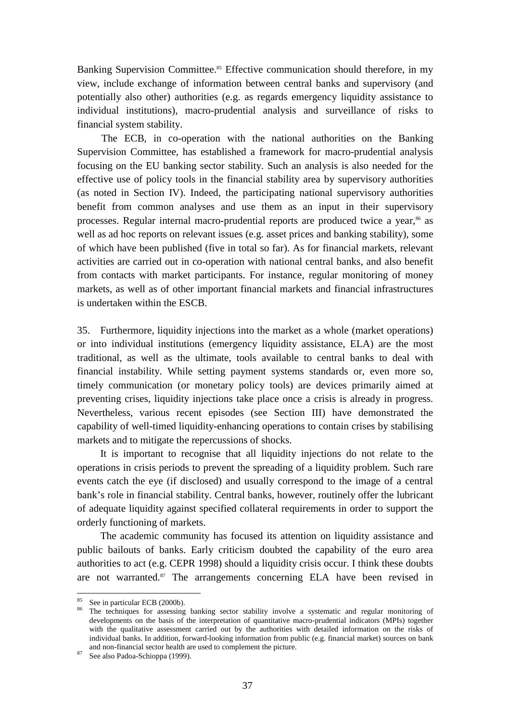Banking Supervision Committee.<sup>85</sup> Effective communication should therefore, in my view, include exchange of information between central banks and supervisory (and potentially also other) authorities (e.g. as regards emergency liquidity assistance to individual institutions), macro-prudential analysis and surveillance of risks to financial system stability.

The ECB, in co-operation with the national authorities on the Banking Supervision Committee, has established a framework for macro-prudential analysis focusing on the EU banking sector stability. Such an analysis is also needed for the effective use of policy tools in the financial stability area by supervisory authorities (as noted in Section IV). Indeed, the participating national supervisory authorities benefit from common analyses and use them as an input in their supervisory processes. Regular internal macro-prudential reports are produced twice a year,<sup>86</sup> as well as ad hoc reports on relevant issues (e.g. asset prices and banking stability), some of which have been published (five in total so far). As for financial markets, relevant activities are carried out in co-operation with national central banks, and also benefit from contacts with market participants. For instance, regular monitoring of money markets, as well as of other important financial markets and financial infrastructures is undertaken within the ESCB.

35. Furthermore, liquidity injections into the market as a whole (market operations) or into individual institutions (emergency liquidity assistance, ELA) are the most traditional, as well as the ultimate, tools available to central banks to deal with financial instability. While setting payment systems standards or, even more so, timely communication (or monetary policy tools) are devices primarily aimed at preventing crises, liquidity injections take place once a crisis is already in progress. Nevertheless, various recent episodes (see Section III) have demonstrated the capability of well-timed liquidity-enhancing operations to contain crises by stabilising markets and to mitigate the repercussions of shocks.

It is important to recognise that all liquidity injections do not relate to the operations in crisis periods to prevent the spreading of a liquidity problem. Such rare events catch the eye (if disclosed) and usually correspond to the image of a central bank's role in financial stability. Central banks, however, routinely offer the lubricant of adequate liquidity against specified collateral requirements in order to support the orderly functioning of markets.

The academic community has focused its attention on liquidity assistance and public bailouts of banks. Early criticism doubted the capability of the euro area authorities to act (e.g. CEPR 1998) should a liquidity crisis occur. I think these doubts are not warranted.<sup>87</sup> The arrangements concerning ELA have been revised in

<sup>&</sup>lt;sup>85</sup> See in particular ECB (2000b).

<sup>86</sup> The techniques for assessing banking sector stability involve a systematic and regular monitoring of developments on the basis of the interpretation of quantitative macro-prudential indicators (MPIs) together with the qualitative assessment carried out by the authorities with detailed information on the risks of individual banks. In addition, forward-looking information from public (e.g. financial market) sources on bank and non-financial sector health are used to complement the picture. See also Padoa-Schioppa (1999).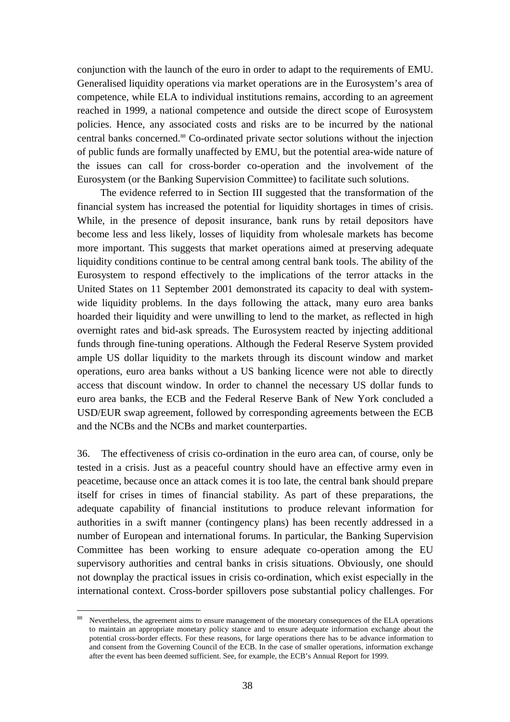conjunction with the launch of the euro in order to adapt to the requirements of EMU. Generalised liquidity operations via market operations are in the Eurosystem's area of competence, while ELA to individual institutions remains, according to an agreement reached in 1999, a national competence and outside the direct scope of Eurosystem policies. Hence, any associated costs and risks are to be incurred by the national central banks concerned.88 Co-ordinated private sector solutions without the injection of public funds are formally unaffected by EMU, but the potential area-wide nature of the issues can call for cross-border co-operation and the involvement of the Eurosystem (or the Banking Supervision Committee) to facilitate such solutions.

The evidence referred to in Section III suggested that the transformation of the financial system has increased the potential for liquidity shortages in times of crisis. While, in the presence of deposit insurance, bank runs by retail depositors have become less and less likely, losses of liquidity from wholesale markets has become more important. This suggests that market operations aimed at preserving adequate liquidity conditions continue to be central among central bank tools. The ability of the Eurosystem to respond effectively to the implications of the terror attacks in the United States on 11 September 2001 demonstrated its capacity to deal with systemwide liquidity problems. In the days following the attack, many euro area banks hoarded their liquidity and were unwilling to lend to the market, as reflected in high overnight rates and bid-ask spreads. The Eurosystem reacted by injecting additional funds through fine-tuning operations. Although the Federal Reserve System provided ample US dollar liquidity to the markets through its discount window and market operations, euro area banks without a US banking licence were not able to directly access that discount window. In order to channel the necessary US dollar funds to euro area banks, the ECB and the Federal Reserve Bank of New York concluded a USD/EUR swap agreement, followed by corresponding agreements between the ECB and the NCBs and the NCBs and market counterparties.

36. The effectiveness of crisis co-ordination in the euro area can, of course, only be tested in a crisis. Just as a peaceful country should have an effective army even in peacetime, because once an attack comes it is too late, the central bank should prepare itself for crises in times of financial stability. As part of these preparations, the adequate capability of financial institutions to produce relevant information for authorities in a swift manner (contingency plans) has been recently addressed in a number of European and international forums. In particular, the Banking Supervision Committee has been working to ensure adequate co-operation among the EU supervisory authorities and central banks in crisis situations. Obviously, one should not downplay the practical issues in crisis co-ordination, which exist especially in the international context. Cross-border spillovers pose substantial policy challenges. For

<sup>&</sup>lt;sup>88</sup> Nevertheless, the agreement aims to ensure management of the monetary consequences of the ELA operations to maintain an appropriate monetary policy stance and to ensure adequate information exchange about the potential cross-border effects. For these reasons, for large operations there has to be advance information to and consent from the Governing Council of the ECB. In the case of smaller operations, information exchange after the event has been deemed sufficient. See, for example, the ECB's Annual Report for 1999.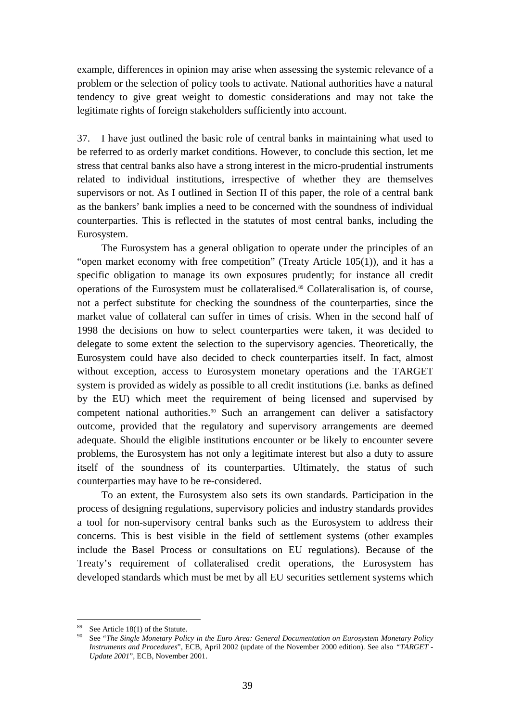example, differences in opinion may arise when assessing the systemic relevance of a problem or the selection of policy tools to activate. National authorities have a natural tendency to give great weight to domestic considerations and may not take the legitimate rights of foreign stakeholders sufficiently into account.

37. I have just outlined the basic role of central banks in maintaining what used to be referred to as orderly market conditions. However, to conclude this section, let me stress that central banks also have a strong interest in the micro-prudential instruments related to individual institutions, irrespective of whether they are themselves supervisors or not. As I outlined in Section II of this paper, the role of a central bank as the bankers' bank implies a need to be concerned with the soundness of individual counterparties. This is reflected in the statutes of most central banks, including the Eurosystem.

The Eurosystem has a general obligation to operate under the principles of an "open market economy with free competition" (Treaty Article 105(1)), and it has a specific obligation to manage its own exposures prudently; for instance all credit operations of the Eurosystem must be collateralised.<sup>89</sup> Collateralisation is, of course, not a perfect substitute for checking the soundness of the counterparties, since the market value of collateral can suffer in times of crisis. When in the second half of 1998 the decisions on how to select counterparties were taken, it was decided to delegate to some extent the selection to the supervisory agencies. Theoretically, the Eurosystem could have also decided to check counterparties itself. In fact, almost without exception, access to Eurosystem monetary operations and the TARGET system is provided as widely as possible to all credit institutions (i.e. banks as defined by the EU) which meet the requirement of being licensed and supervised by competent national authorities.<sup>90</sup> Such an arrangement can deliver a satisfactory outcome, provided that the regulatory and supervisory arrangements are deemed adequate. Should the eligible institutions encounter or be likely to encounter severe problems, the Eurosystem has not only a legitimate interest but also a duty to assure itself of the soundness of its counterparties. Ultimately, the status of such counterparties may have to be re-considered.

To an extent, the Eurosystem also sets its own standards. Participation in the process of designing regulations, supervisory policies and industry standards provides a tool for non-supervisory central banks such as the Eurosystem to address their concerns. This is best visible in the field of settlement systems (other examples include the Basel Process or consultations on EU regulations). Because of the Treaty's requirement of collateralised credit operations, the Eurosystem has developed standards which must be met by all EU securities settlement systems which

<sup>&</sup>lt;sup>89</sup> See Article 18(1) of the Statute.

<sup>90</sup> See "*The Single Monetary Policy in the Euro Area: General Documentation on Eurosystem Monetary Policy Instruments and Procedures*", ECB, April 2002 (update of the November 2000 edition). See also *"TARGET - Update 2001*", ECB, November 2001.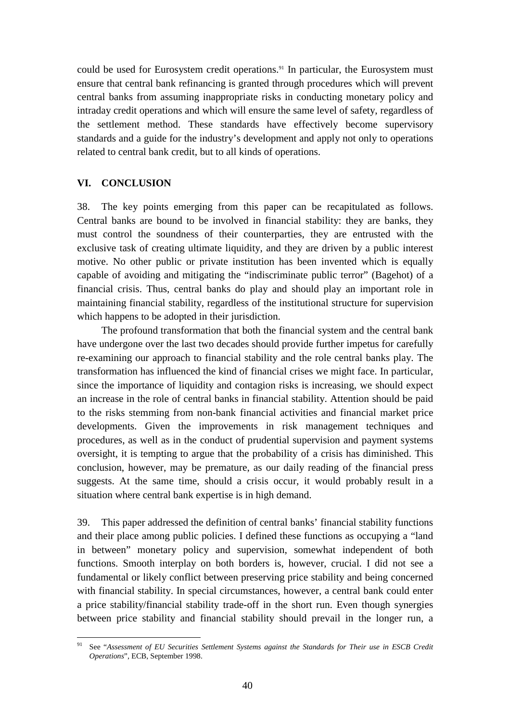<span id="page-41-0"></span>could be used for Eurosystem credit operations.<sup>91</sup> In particular, the Eurosystem must ensure that central bank refinancing is granted through procedures which will prevent central banks from assuming inappropriate risks in conducting monetary policy and intraday credit operations and which will ensure the same level of safety, regardless of the settlement method. These standards have effectively become supervisory standards and a guide for the industry's development and apply not only to operations related to central bank credit, but to all kinds of operations.

#### **VI. CONCLUSION**

38. The key points emerging from this paper can be recapitulated as follows. Central banks are bound to be involved in financial stability: they are banks, they must control the soundness of their counterparties, they are entrusted with the exclusive task of creating ultimate liquidity, and they are driven by a public interest motive. No other public or private institution has been invented which is equally capable of avoiding and mitigating the "indiscriminate public terror" (Bagehot) of a financial crisis. Thus, central banks do play and should play an important role in maintaining financial stability, regardless of the institutional structure for supervision which happens to be adopted in their jurisdiction.

The profound transformation that both the financial system and the central bank have undergone over the last two decades should provide further impetus for carefully re-examining our approach to financial stability and the role central banks play. The transformation has influenced the kind of financial crises we might face. In particular, since the importance of liquidity and contagion risks is increasing, we should expect an increase in the role of central banks in financial stability. Attention should be paid to the risks stemming from non-bank financial activities and financial market price developments. Given the improvements in risk management techniques and procedures, as well as in the conduct of prudential supervision and payment systems oversight, it is tempting to argue that the probability of a crisis has diminished. This conclusion, however, may be premature, as our daily reading of the financial press suggests. At the same time, should a crisis occur, it would probably result in a situation where central bank expertise is in high demand.

39. This paper addressed the definition of central banks' financial stability functions and their place among public policies. I defined these functions as occupying a "land in between" monetary policy and supervision, somewhat independent of both functions. Smooth interplay on both borders is, however, crucial. I did not see a fundamental or likely conflict between preserving price stability and being concerned with financial stability. In special circumstances, however, a central bank could enter a price stability/financial stability trade-off in the short run. Even though synergies between price stability and financial stability should prevail in the longer run, a

<sup>91</sup> 91 See "*Assessment of EU Securities Settlement Systems against the Standards for Their use in ESCB Credit Operations*", ECB, September 1998.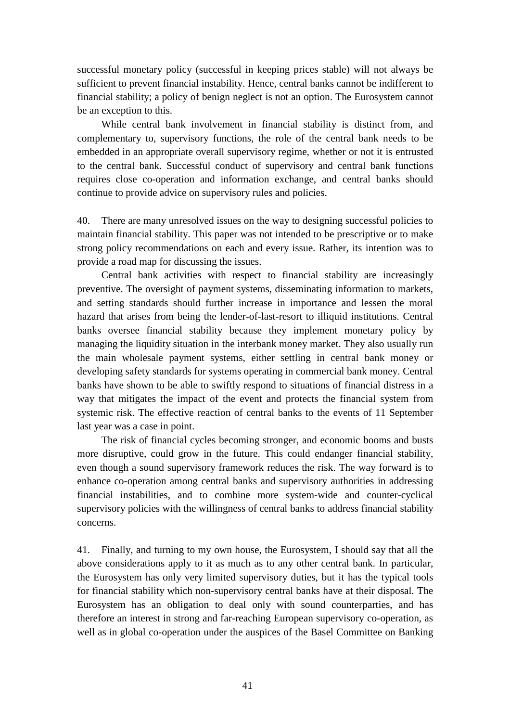successful monetary policy (successful in keeping prices stable) will not always be sufficient to prevent financial instability. Hence, central banks cannot be indifferent to financial stability; a policy of benign neglect is not an option. The Eurosystem cannot be an exception to this.

While central bank involvement in financial stability is distinct from, and complementary to, supervisory functions, the role of the central bank needs to be embedded in an appropriate overall supervisory regime, whether or not it is entrusted to the central bank. Successful conduct of supervisory and central bank functions requires close co-operation and information exchange, and central banks should continue to provide advice on supervisory rules and policies.

40. There are many unresolved issues on the way to designing successful policies to maintain financial stability. This paper was not intended to be prescriptive or to make strong policy recommendations on each and every issue. Rather, its intention was to provide a road map for discussing the issues.

Central bank activities with respect to financial stability are increasingly preventive. The oversight of payment systems, disseminating information to markets, and setting standards should further increase in importance and lessen the moral hazard that arises from being the lender-of-last-resort to illiquid institutions. Central banks oversee financial stability because they implement monetary policy by managing the liquidity situation in the interbank money market. They also usually run the main wholesale payment systems, either settling in central bank money or developing safety standards for systems operating in commercial bank money. Central banks have shown to be able to swiftly respond to situations of financial distress in a way that mitigates the impact of the event and protects the financial system from systemic risk. The effective reaction of central banks to the events of 11 September last year was a case in point.

The risk of financial cycles becoming stronger, and economic booms and busts more disruptive, could grow in the future. This could endanger financial stability, even though a sound supervisory framework reduces the risk. The way forward is to enhance co-operation among central banks and supervisory authorities in addressing financial instabilities, and to combine more system-wide and counter-cyclical supervisory policies with the willingness of central banks to address financial stability concerns.

41. Finally, and turning to my own house, the Eurosystem, I should say that all the above considerations apply to it as much as to any other central bank. In particular, the Eurosystem has only very limited supervisory duties, but it has the typical tools for financial stability which non-supervisory central banks have at their disposal. The Eurosystem has an obligation to deal only with sound counterparties, and has therefore an interest in strong and far-reaching European supervisory co-operation, as well as in global co-operation under the auspices of the Basel Committee on Banking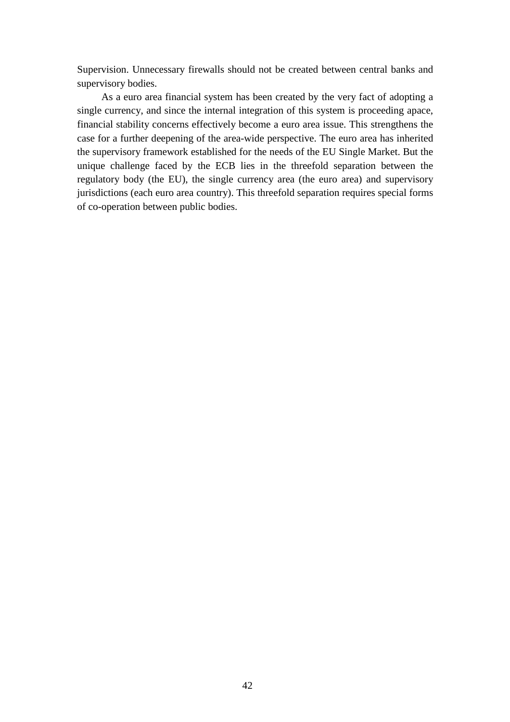Supervision. Unnecessary firewalls should not be created between central banks and supervisory bodies.

As a euro area financial system has been created by the very fact of adopting a single currency, and since the internal integration of this system is proceeding apace, financial stability concerns effectively become a euro area issue. This strengthens the case for a further deepening of the area-wide perspective. The euro area has inherited the supervisory framework established for the needs of the EU Single Market. But the unique challenge faced by the ECB lies in the threefold separation between the regulatory body (the EU), the single currency area (the euro area) and supervisory jurisdictions (each euro area country). This threefold separation requires special forms of co-operation between public bodies.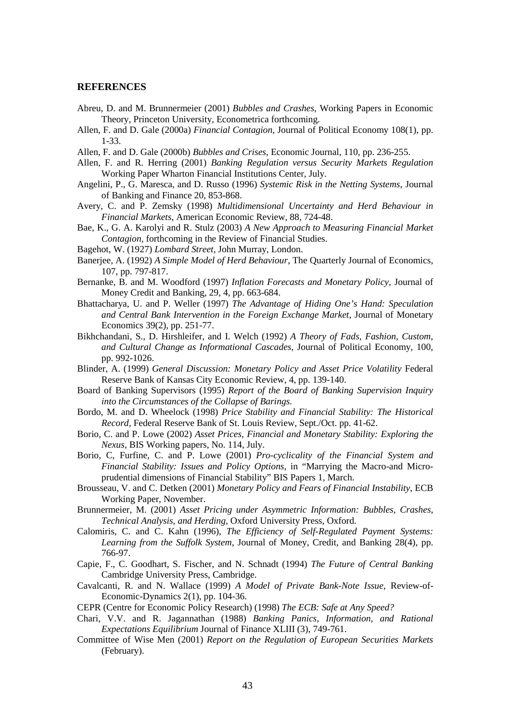#### <span id="page-44-0"></span>**REFERENCES**

- Abreu, D. and M. Brunnermeier (2001) *Bubbles and Crashes*, Working Papers in Economic Theory, Princeton University, Econometrica forthcoming.
- Allen, F. and D. Gale (2000a) *Financial Contagion*, Journal of Political Economy 108(1), pp. 1-33.
- Allen, F. and D. Gale (2000b) *Bubbles and Crises*, Economic Journal, 110, pp. 236-255.
- Allen, F. and R. Herring (2001) *Banking Regulation versus Security Markets Regulation* Working Paper Wharton Financial Institutions Center, July.
- Angelini, P., G. Maresca, and D. Russo (1996) *Systemic Risk in the Netting Systems*, Journal of Banking and Finance 20, 853-868.
- Avery, C. and P. Zemsky (1998) *Multidimensional Uncertainty and Herd Behaviour in Financial Markets*, American Economic Review*,* 88, 724-48.
- Bae, K., G. A. Karolyi and R. Stulz (2003) *A New Approach to Measuring Financial Market Contagion,* forthcoming in the Review of Financial Studies.
- Bagehot, W. (1927) *Lombard Street,* John Murray, London.
- Banerjee, A. (1992) *A Simple Model of Herd Behaviour*, The Quarterly Journal of Economics, 107, pp. 797-817.
- Bernanke, B. and M. Woodford (1997) *Inflation Forecasts and Monetary Policy*, Journal of Money Credit and Banking, 29, 4, pp. 663-684.
- Bhattacharya, U. and P. Weller (1997) *The Advantage of Hiding One's Hand: Speculation and Central Bank Intervention in the Foreign Exchange Market*, Journal of Monetary Economics 39(2), pp. 251-77.
- Bikhchandani, S., D. Hirshleifer, and I. Welch (1992) *A Theory of Fads, Fashion, Custom, and Cultural Change as Informational Cascades*, Journal of Political Economy, 100, pp. 992-1026.
- Blinder, A. (1999) *General Discussion: Monetary Policy and Asset Price Volatility* Federal Reserve Bank of Kansas City Economic Review, 4, pp. 139-140.
- Board of Banking Supervisors (1995) *Report of the Board of Banking Supervision Inquiry into the Circumstances of the Collapse of Barings.*
- Bordo, M. and D. Wheelock (1998) *Price Stability and Financial Stability: The Historical Record,* Federal Reserve Bank of St. Louis Review, Sept./Oct. pp. 41-62.
- Borio, C. and P. Lowe (2002) *Asset Prices, Financial and Monetary Stability: Exploring the Nexus*, BIS Working papers, No. 114, July.
- Borio, C, Furfine, C. and P. Lowe (2001) *Pro-cyclicality of the Financial System and Financial Stability: Issues and Policy Options*, in "Marrying the Macro-and Microprudential dimensions of Financial Stability" BIS Papers 1, March.
- Brousseau, V. and C. Detken (2001) *Monetary Policy and Fears of Financial Instability*, ECB Working Paper, November.
- Brunnermeier, M. (2001) *Asset Pricing under Asymmetric Information: Bubbles, Crashes, Technical Analysis, and Herding*, Oxford University Press, Oxford.
- Calomiris, C. and C. Kahn (1996), *The Efficiency of Self-Regulated Payment Systems: Learning from the Suffolk System,* Journal of Money, Credit, and Banking 28(4), pp. 766-97.
- Capie, F., C. Goodhart, S. Fischer, and N. Schnadt (1994) *The Future of Central Banking* Cambridge University Press, Cambridge.
- Cavalcanti, R. and N. Wallace (1999) *A Model of Private Bank-Note Issue*, Review-of-Economic-Dynamics 2(1), pp. 104-36.
- CEPR (Centre for Economic Policy Research) (1998) *The ECB: Safe at Any Speed?*
- Chari, V.V. and R. Jagannathan (1988) *Banking Panics, Information, and Rational Expectations Equilibrium* Journal of Finance XLIII (3), 749-761.
- Committee of Wise Men (2001) *Report on the Regulation of European Securities Markets* (February).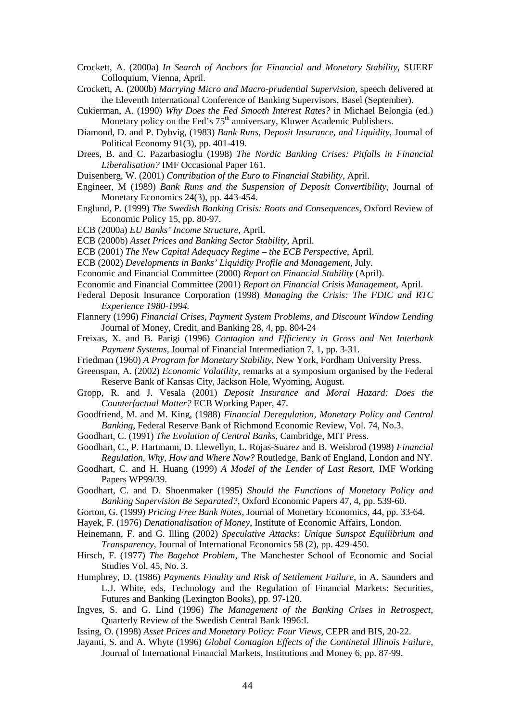- Crockett, A. (2000a) *In Search of Anchors for Financial and Monetary Stability,* SUERF Colloquium, Vienna, April.
- Crockett, A. (2000b) *Marrying Micro and Macro-prudential Supervision*, speech delivered at the Eleventh International Conference of Banking Supervisors, Basel (September).
- Cukierman, A. (1990) *Why Does the Fed Smooth Interest Rates?* in Michael Belongia (ed.) Monetary policy on the Fed's 75<sup>th</sup> anniversary, Kluwer Academic Publishers.
- Diamond, D. and P. Dybvig, (1983) *Bank Runs, Deposit Insurance, and Liquidity,* Journal of Political Economy 91(3), pp. 401-419.
- Drees, B. and C. Pazarbasioglu (1998) *The Nordic Banking Crises: Pitfalls in Financial Liberalisation?* IMF Occasional Paper 161.
- Duisenberg, W. (2001) *Contribution of the Euro to Financial Stability*, April.
- Engineer, M (1989) *Bank Runs and the Suspension of Deposit Convertibility,* Journal of Monetary Economics 24(3), pp. 443-454.
- Englund, P. (1999) *The Swedish Banking Crisis: Roots and Consequences,* Oxford Review of Economic Policy 15, pp. 80-97.
- ECB (2000a) *EU Banks' Income Structure,* April.
- ECB (2000b) *Asset Prices and Banking Sector Stability*, April.
- ECB (2001) *The New Capital Adequacy Regime the ECB Perspective*, April.
- ECB (2002) *Developments in Banks' Liquidity Profile and Management,* July.
- Economic and Financial Committee (2000) *Report on Financial Stability* (April).
- Economic and Financial Committee (2001) *Report on Financial Crisis Management*, April.
- Federal Deposit Insurance Corporation (1998) *Managing the Crisis: The FDIC and RTC Experience 1980-1994.*
- Flannery (1996) *Financial Crises, Payment System Problems, and Discount Window Lending* Journal of Money, Credit, and Banking 28, 4, pp. 804-24
- Freixas, X. and B. Parigi (1996) *Contagion and Efficiency in Gross and Net Interbank Payment Systems,* Journal of Financial Intermediation 7, 1, pp. 3-31.
- Friedman (1960) *A Program for Monetary Stability*, New York, Fordham University Press.
- Greenspan, A. (2002) *Economic Volatility*, remarks at a symposium organised by the Federal Reserve Bank of Kansas City, Jackson Hole, Wyoming, August.
- Gropp, R. and J. Vesala (2001) *Deposit Insurance and Moral Hazard: Does the Counterfactual Matter?* ECB Working Paper, 47.
- Goodfriend, M. and M. King, (1988) *Financial Deregulation, Monetary Policy and Central Banking*, Federal Reserve Bank of Richmond Economic Review, Vol. 74, No.3.

Goodhart, C. (1991) *The Evolution of Central Banks*, Cambridge, MIT Press.

- Goodhart, C., P. Hartmann, D. Llewellyn, L. Rojas-Suarez and B. Weisbrod (1998) *Financial Regulation, Why, How and Where Now?* Routledge, Bank of England, London and NY.
- Goodhart, C. and H. Huang (1999) *A Model of the Lender of Last Resort,* IMF Working Papers WP99/39.
- Goodhart, C. and D. Shoenmaker (1995) *Should the Functions of Monetary Policy and Banking Supervision Be Separated?*, Oxford Economic Papers 47, 4, pp. 539-60.
- Gorton, G. (1999) *Pricing Free Bank Notes*, Journal of Monetary Economics, 44, pp. 33-64.
- Hayek, F. (1976) *Denationalisation of Money*, Institute of Economic Affairs, London.
- Heinemann, F. and G. Illing (2002) *Speculative Attacks: Unique Sunspot Equilibrium and Transparency*, Journal of International Economics 58 (2), pp. 429-450.
- Hirsch, F. (1977) *The Bagehot Problem,* The Manchester School of Economic and Social Studies Vol. 45, No. 3.
- Humphrey, D. (1986) *Payments Finality and Risk of Settlement Failure*, in A. Saunders and L.J. White, eds, Technology and the Regulation of Financial Markets: Securities, Futures and Banking (Lexington Books), pp. 97-120.
- Ingves, S. and G. Lind (1996) *The Management of the Banking Crises in Retrospect,* Quarterly Review of the Swedish Central Bank 1996:I.
- Issing, O. (1998) *Asset Prices and Monetary Policy: Four Views*, CEPR and BIS, 20-22.
- Jayanti, S. and A. Whyte (1996) *Global Contagion Effects of the Continetal Illinois Failure,* Journal of International Financial Markets, Institutions and Money 6, pp. 87-99.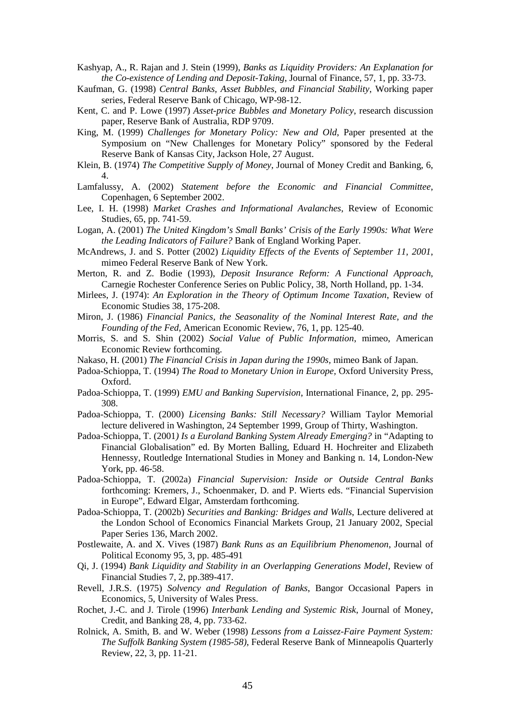- Kashyap, A., R. Rajan and J. Stein (1999), *Banks as Liquidity Providers: An Explanation for the Co-existence of Lending and Deposit-Taking*, Journal of Finance, 57, 1, pp. 33-73.
- Kaufman, G. (1998) *Central Banks, Asset Bubbles, and Financial Stability*, Working paper series, Federal Reserve Bank of Chicago, WP-98-12.
- Kent, C. and P. Lowe (1997) *Asset-price Bubbles and Monetary Policy*, research discussion paper, Reserve Bank of Australia, RDP 9709.
- King, M. (1999) *Challenges for Monetary Policy: New and Old*, Paper presented at the Symposium on "New Challenges for Monetary Policy" sponsored by the Federal Reserve Bank of Kansas City, Jackson Hole, 27 August.
- Klein, B. (1974) *The Competitive Supply of Money*, Journal of Money Credit and Banking, 6, 4.
- Lamfalussy, A. (2002) *Statement before the Economic and Financial Committee*, Copenhagen, 6 September 2002.
- Lee, I. H. (1998) *Market Crashes and Informational Avalanches*, Review of Economic Studies, 65, pp. 741-59.
- Logan, A. (2001) *The United Kingdom's Small Banks' Crisis of the Early 1990s: What Were the Leading Indicators of Failure?* Bank of England Working Paper.
- McAndrews, J. and S. Potter (2002) *Liquidity Effects of the Events of September 11, 2001*, mimeo Federal Reserve Bank of New York.
- Merton, R. and Z. Bodie (1993), *Deposit Insurance Reform: A Functional Approach*, Carnegie Rochester Conference Series on Public Policy, 38, North Holland, pp. 1-34.
- Mirlees, J. (1974): *An Exploration in the Theory of Optimum Income Taxation*, Review of Economic Studies 38, 175-208.
- Miron, J. (1986) *Financial Panics, the Seasonality of the Nominal Interest Rate, and the Founding of the Fed*, American Economic Review, 76, 1, pp. 125-40.
- Morris, S. and S. Shin (2002) *Social Value of Public Information*, mimeo, American Economic Review forthcoming.
- Nakaso, H. (2001) *The Financial Crisis in Japan during the 1990s,* mimeo Bank of Japan.
- Padoa-Schioppa, T. (1994) *The Road to Monetary Union in Europe,* Oxford University Press, Oxford.
- Padoa-Schioppa, T. (1999) *EMU and Banking Supervision*, International Finance, 2, pp. 295- 308.
- Padoa-Schioppa, T. (2000) *Licensing Banks: Still Necessary?* William Taylor Memorial lecture delivered in Washington, 24 September 1999, Group of Thirty, Washington.
- Padoa-Schioppa, T. (2001*) Is a Euroland Banking System Already Emerging?* in "Adapting to Financial Globalisation" ed. By Morten Balling, Eduard H. Hochreiter and Elizabeth Hennessy, Routledge International Studies in Money and Banking n. 14, London-New York, pp. 46-58.
- Padoa-Schioppa, T. (2002a) *Financial Supervision: Inside or Outside Central Banks* forthcoming: Kremers, J., Schoenmaker, D. and P. Wierts eds. "Financial Supervision in Europe", Edward Elgar, Amsterdam forthcoming.
- Padoa-Schioppa, T. (2002b) *Securities and Banking: Bridges and Walls*, Lecture delivered at the London School of Economics Financial Markets Group, 21 January 2002, Special Paper Series 136, March 2002.
- Postlewaite, A. and X. Vives (1987) *Bank Runs as an Equilibrium Phenomenon*, Journal of Political Economy 95, 3, pp. 485-491
- Qi, J. (1994) *Bank Liquidity and Stability in an Overlapping Generations Model*, Review of Financial Studies 7, 2, pp.389-417.
- Revell, J.R.S. (1975) *Solvency and Regulation of Banks*, Bangor Occasional Papers in Economics, 5, University of Wales Press.
- Rochet, J.-C. and J. Tirole (1996) *Interbank Lending and Systemic Risk*, Journal of Money, Credit, and Banking 28, 4, pp. 733-62.
- Rolnick, A. Smith, B. and W. Weber (1998) *Lessons from a Laissez-Faire Payment System: The Suffolk Banking System (1985-58)*, Federal Reserve Bank of Minneapolis Quarterly Review, 22, 3, pp. 11-21.